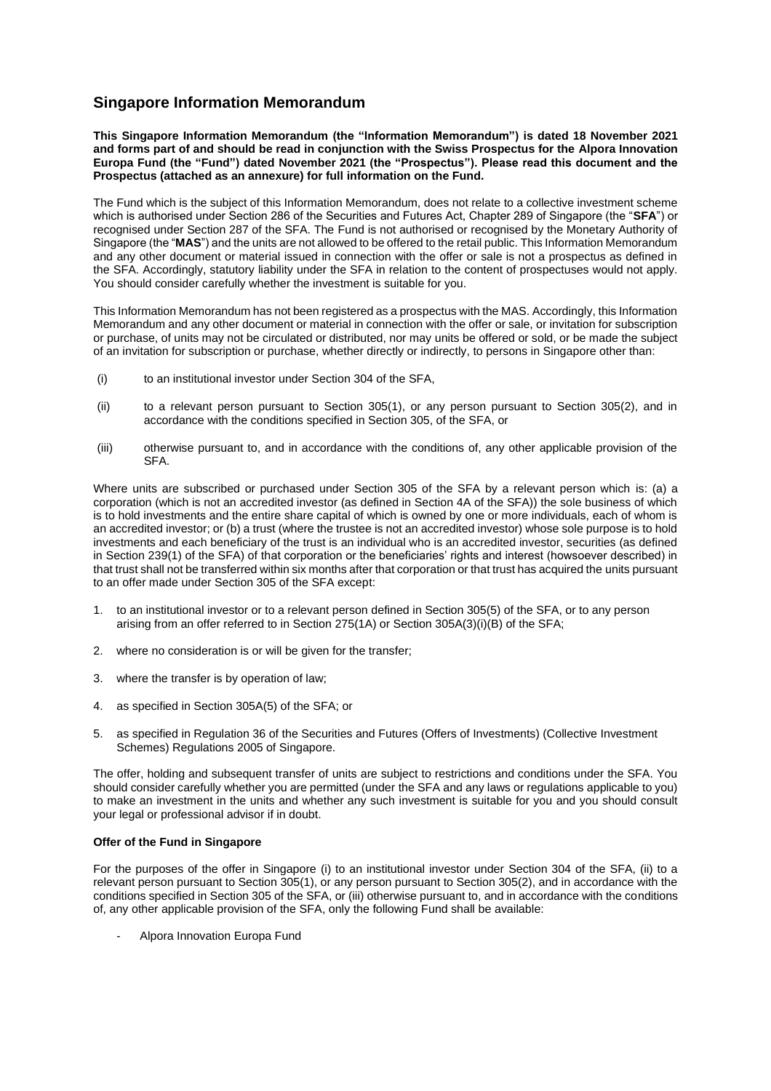### **Singapore Information Memorandum**

**This Singapore Information Memorandum (the "Information Memorandum") is dated 18 November 2021 and forms part of and should be read in conjunction with the Swiss Prospectus for the Alpora Innovation Europa Fund (the "Fund") dated November 2021 (the "Prospectus"). Please read this document and the Prospectus (attached as an annexure) for full information on the Fund.**

The Fund which is the subject of this Information Memorandum, does not relate to a collective investment scheme which is authorised under Section 286 of the Securities and Futures Act, Chapter 289 of Singapore (the "**SFA**") or recognised under Section 287 of the SFA. The Fund is not authorised or recognised by the Monetary Authority of Singapore (the "**MAS**") and the units are not allowed to be offered to the retail public. This Information Memorandum and any other document or material issued in connection with the offer or sale is not a prospectus as defined in the SFA. Accordingly, statutory liability under the SFA in relation to the content of prospectuses would not apply. You should consider carefully whether the investment is suitable for you.

This Information Memorandum has not been registered as a prospectus with the MAS. Accordingly, this Information Memorandum and any other document or material in connection with the offer or sale, or invitation for subscription or purchase, of units may not be circulated or distributed, nor may units be offered or sold, or be made the subject of an invitation for subscription or purchase, whether directly or indirectly, to persons in Singapore other than:

- (i) to an institutional investor under Section 304 of the SFA,
- (ii) to a relevant person pursuant to Section 305(1), or any person pursuant to Section 305(2), and in accordance with the conditions specified in Section 305, of the SFA, or
- (iii) otherwise pursuant to, and in accordance with the conditions of, any other applicable provision of the SFA.

Where units are subscribed or purchased under Section 305 of the SFA by a relevant person which is: (a) a corporation (which is not an accredited investor (as defined in Section 4A of the SFA)) the sole business of which is to hold investments and the entire share capital of which is owned by one or more individuals, each of whom is an accredited investor; or (b) a trust (where the trustee is not an accredited investor) whose sole purpose is to hold investments and each beneficiary of the trust is an individual who is an accredited investor, securities (as defined in Section 239(1) of the SFA) of that corporation or the beneficiaries' rights and interest (howsoever described) in that trust shall not be transferred within six months after that corporation or that trust has acquired the units pursuant to an offer made under Section 305 of the SFA except:

- 1. to an institutional investor or to a relevant person defined in Section 305(5) of the SFA, or to any person arising from an offer referred to in Section 275(1A) or Section 305A(3)(i)(B) of the SFA;
- 2. where no consideration is or will be given for the transfer;
- 3. where the transfer is by operation of law;
- 4. as specified in Section 305A(5) of the SFA; or
- 5. as specified in Regulation 36 of the Securities and Futures (Offers of Investments) (Collective Investment Schemes) Regulations 2005 of Singapore.

The offer, holding and subsequent transfer of units are subject to restrictions and conditions under the SFA. You should consider carefully whether you are permitted (under the SFA and any laws or regulations applicable to you) to make an investment in the units and whether any such investment is suitable for you and you should consult your legal or professional advisor if in doubt.

#### **Offer of the Fund in Singapore**

For the purposes of the offer in Singapore (i) to an institutional investor under Section 304 of the SFA, (ii) to a relevant person pursuant to Section 305(1), or any person pursuant to Section 305(2), and in accordance with the conditions specified in Section 305 of the SFA, or (iii) otherwise pursuant to, and in accordance with the conditions of, any other applicable provision of the SFA, only the following Fund shall be available:

Alpora Innovation Europa Fund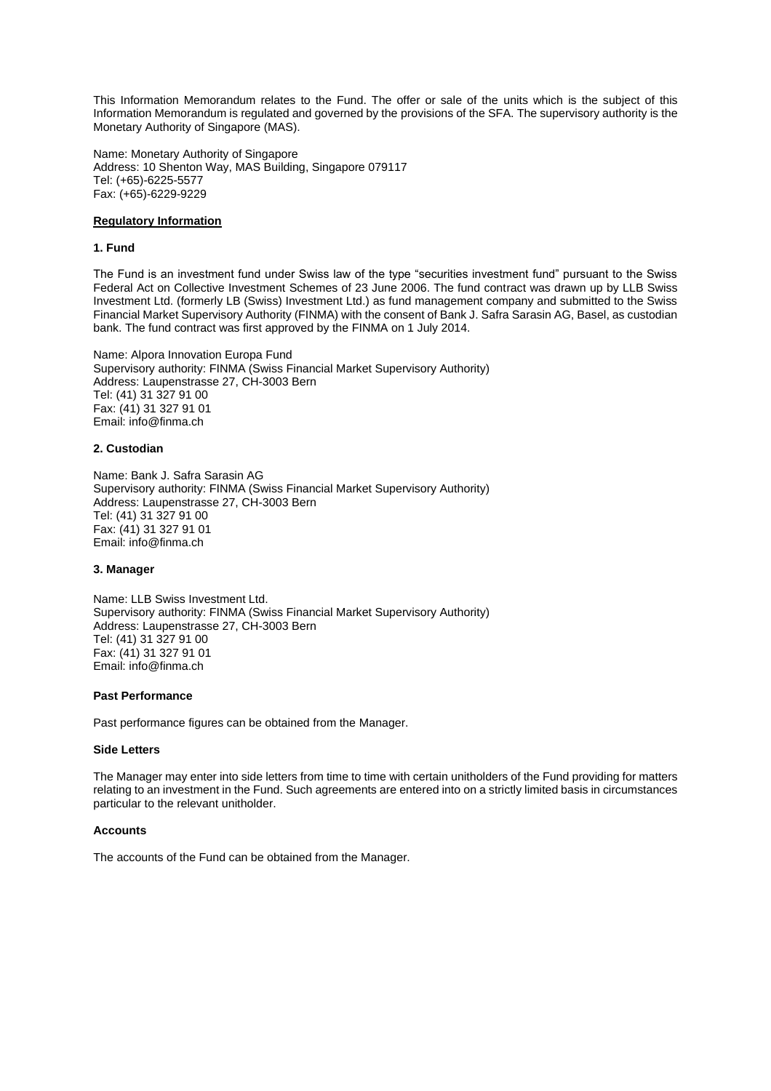This Information Memorandum relates to the Fund. The offer or sale of the units which is the subject of this Information Memorandum is regulated and governed by the provisions of the SFA. The supervisory authority is the Monetary Authority of Singapore (MAS).

Name: Monetary Authority of Singapore Address: 10 Shenton Way, MAS Building, Singapore 079117 Tel: (+65)-6225-5577 Fax: (+65)-6229-9229

#### **Regulatory Information**

#### **1. Fund**

The Fund is an investment fund under Swiss law of the type "securities investment fund" pursuant to the Swiss Federal Act on Collective Investment Schemes of 23 June 2006. The fund contract was drawn up by LLB Swiss Investment Ltd. (formerly LB (Swiss) Investment Ltd.) as fund management company and submitted to the Swiss Financial Market Supervisory Authority (FINMA) with the consent of Bank J. Safra Sarasin AG, Basel, as custodian bank. The fund contract was first approved by the FINMA on 1 July 2014.

Name: Alpora Innovation Europa Fund Supervisory authority: FINMA (Swiss Financial Market Supervisory Authority) Address: Laupenstrasse 27, CH-3003 Bern Tel: (41) 31 327 91 00 Fax: (41) 31 327 91 01 Email: info@finma.ch

#### **2. Custodian**

Name: Bank J. Safra Sarasin AG Supervisory authority: FINMA (Swiss Financial Market Supervisory Authority) Address: Laupenstrasse 27, CH-3003 Bern Tel: (41) 31 327 91 00 Fax: (41) 31 327 91 01 Email: info@finma.ch

#### **3. Manager**

Name: LLB Swiss Investment Ltd. Supervisory authority: FINMA (Swiss Financial Market Supervisory Authority) Address: Laupenstrasse 27, CH-3003 Bern Tel: (41) 31 327 91 00 Fax: (41) 31 327 91 01 Email: info@finma.ch

#### **Past Performance**

Past performance figures can be obtained from the Manager.

#### **Side Letters**

The Manager may enter into side letters from time to time with certain unitholders of the Fund providing for matters relating to an investment in the Fund. Such agreements are entered into on a strictly limited basis in circumstances particular to the relevant unitholder.

#### **Accounts**

The accounts of the Fund can be obtained from the Manager.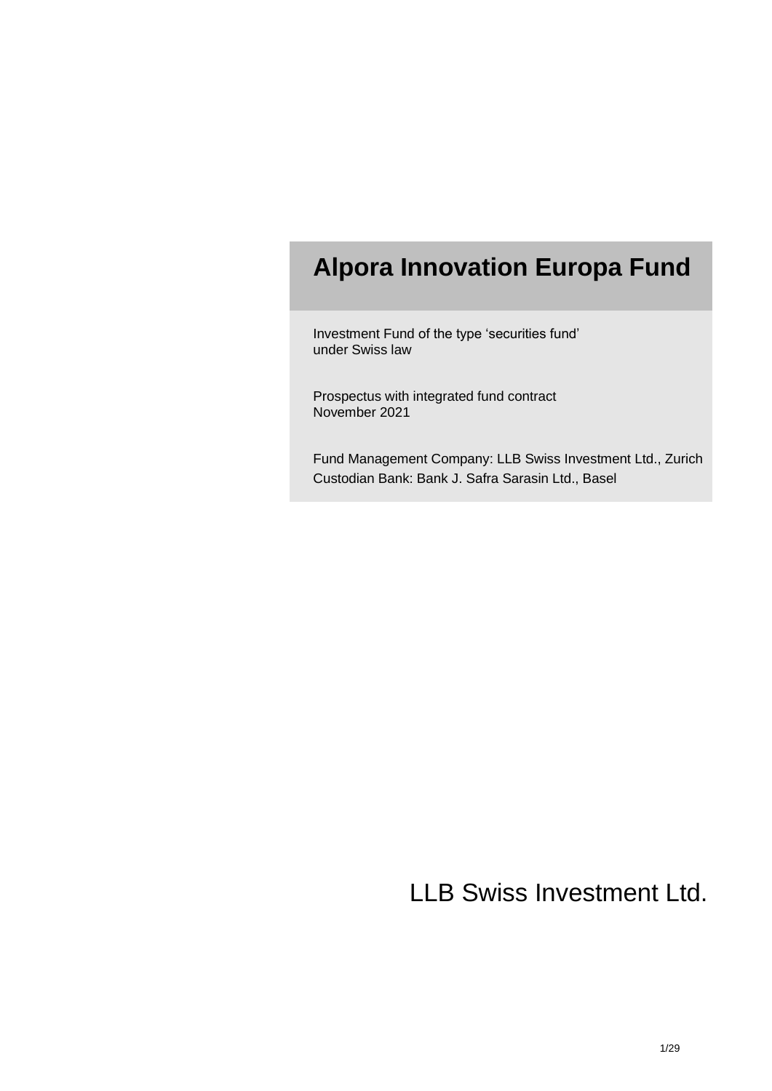# **Alpora Innovation Europa Fund**

Investment Fund of the type 'securities fund' under Swiss law

Prospectus with integrated fund contract November 2021

Fund Management Company: LLB Swiss Investment Ltd., Zurich Custodian Bank: Bank J. Safra Sarasin Ltd., Basel

# LLB Swiss Investment Ltd.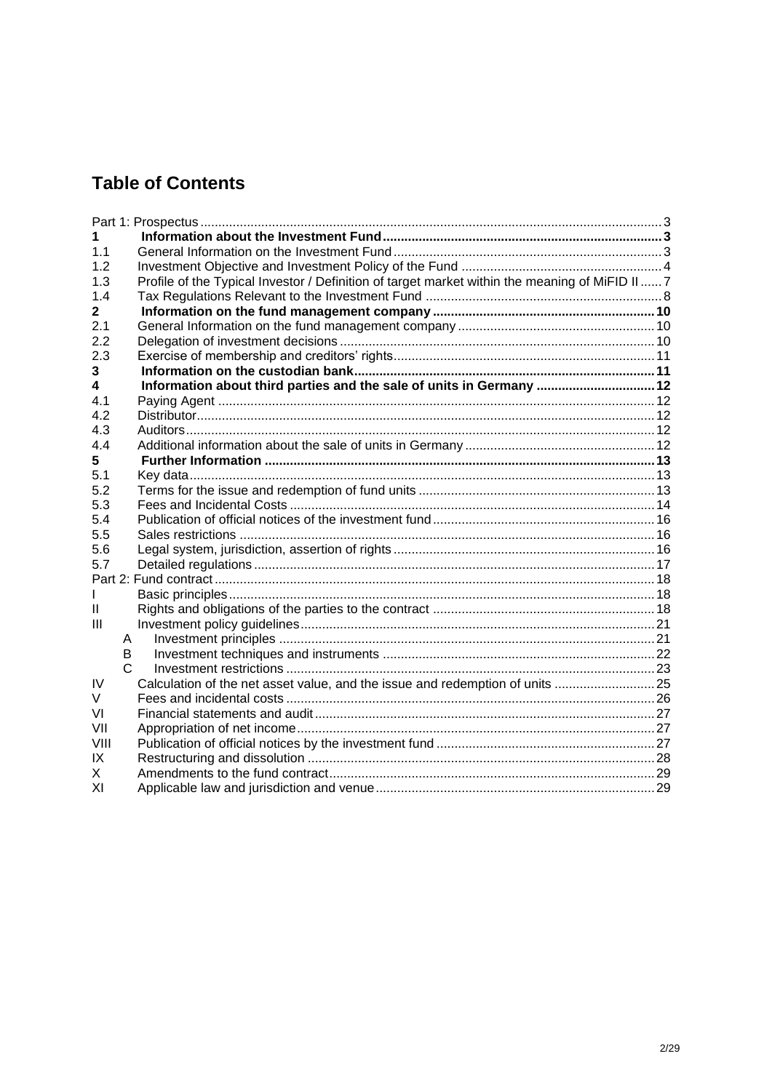## **Table of Contents**

| 1    |                                                                                                 |  |
|------|-------------------------------------------------------------------------------------------------|--|
| 1.1  |                                                                                                 |  |
| 1.2  |                                                                                                 |  |
| 1.3  | Profile of the Typical Investor / Definition of target market within the meaning of MiFID II  7 |  |
| 1.4  |                                                                                                 |  |
| 2    |                                                                                                 |  |
| 2.1  |                                                                                                 |  |
| 2.2  |                                                                                                 |  |
| 2.3  |                                                                                                 |  |
| 3    |                                                                                                 |  |
| 4    | Information about third parties and the sale of units in Germany  12                            |  |
| 4.1  |                                                                                                 |  |
| 4.2  |                                                                                                 |  |
| 4.3  |                                                                                                 |  |
| 4.4  |                                                                                                 |  |
| 5    |                                                                                                 |  |
| 5.1  |                                                                                                 |  |
| 5.2  |                                                                                                 |  |
| 5.3  |                                                                                                 |  |
| 5.4  |                                                                                                 |  |
| 5.5  |                                                                                                 |  |
| 5.6  |                                                                                                 |  |
| 5.7  |                                                                                                 |  |
|      |                                                                                                 |  |
|      |                                                                                                 |  |
| Ш    |                                                                                                 |  |
| Ш    |                                                                                                 |  |
|      | A                                                                                               |  |
|      | B                                                                                               |  |
|      | C.                                                                                              |  |
| IV   | Calculation of the net asset value, and the issue and redemption of units  25                   |  |
| V    |                                                                                                 |  |
| VI   |                                                                                                 |  |
| VII  |                                                                                                 |  |
| VIII |                                                                                                 |  |
| IX   |                                                                                                 |  |
| X.   |                                                                                                 |  |
| ΧI   |                                                                                                 |  |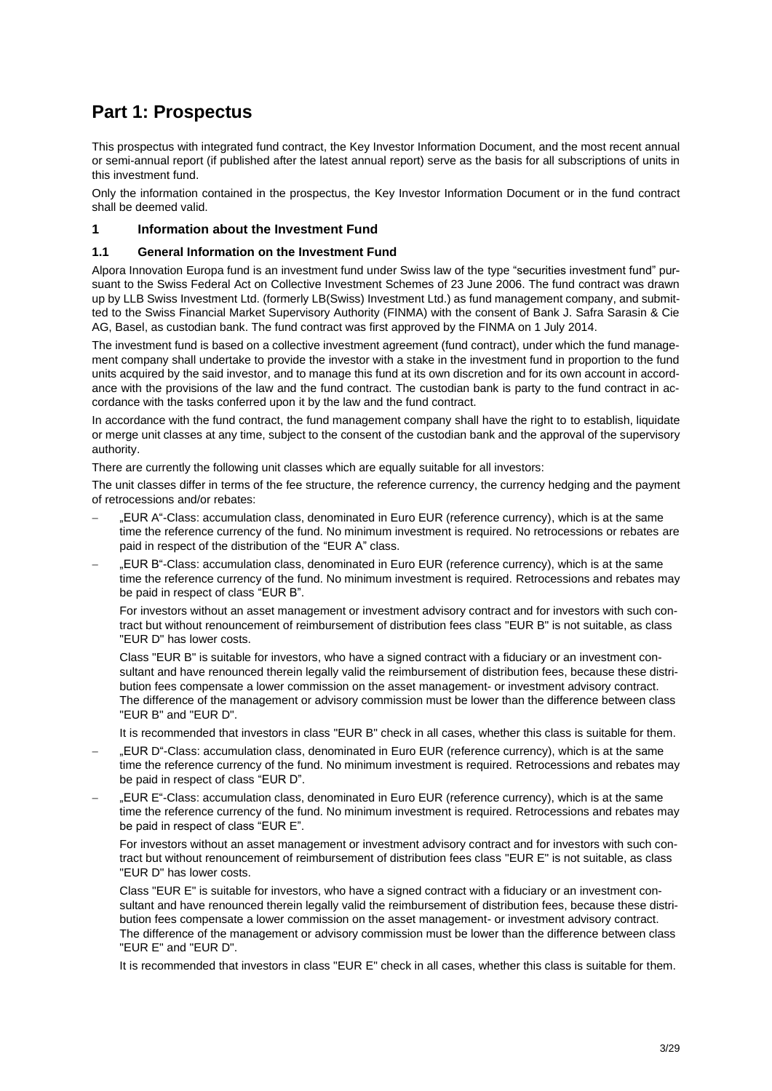### <span id="page-4-0"></span>**Part 1: Prospectus**

This prospectus with integrated fund contract, the Key Investor Information Document, and the most recent annual or semi-annual report (if published after the latest annual report) serve as the basis for all subscriptions of units in this investment fund.

Only the information contained in the prospectus, the Key Investor Information Document or in the fund contract shall be deemed valid.

#### <span id="page-4-1"></span>**1 Information about the Investment Fund**

#### <span id="page-4-2"></span>**1.1 General Information on the Investment Fund**

Alpora Innovation Europa fund is an investment fund under Swiss law of the type "securities investment fund" pursuant to the Swiss Federal Act on Collective Investment Schemes of 23 June 2006. The fund contract was drawn up by LLB Swiss Investment Ltd. (formerly LB(Swiss) Investment Ltd.) as fund management company, and submitted to the Swiss Financial Market Supervisory Authority (FINMA) with the consent of Bank J. Safra Sarasin & Cie AG, Basel, as custodian bank. The fund contract was first approved by the FINMA on 1 July 2014.

The investment fund is based on a collective investment agreement (fund contract), under which the fund management company shall undertake to provide the investor with a stake in the investment fund in proportion to the fund units acquired by the said investor, and to manage this fund at its own discretion and for its own account in accordance with the provisions of the law and the fund contract. The custodian bank is party to the fund contract in accordance with the tasks conferred upon it by the law and the fund contract.

In accordance with the fund contract, the fund management company shall have the right to to establish, liquidate or merge unit classes at any time, subject to the consent of the custodian bank and the approval of the supervisory authority.

There are currently the following unit classes which are equally suitable for all investors:

The unit classes differ in terms of the fee structure, the reference currency, the currency hedging and the payment of retrocessions and/or rebates:

- "EUR A"-Class: accumulation class, denominated in Euro EUR (reference currency), which is at the same time the reference currency of the fund. No minimum investment is required. No retrocessions or rebates are paid in respect of the distribution of the "EUR A" class.
- − "EUR B"-Class: accumulation class, denominated in Euro EUR (reference currency), which is at the same time the reference currency of the fund. No minimum investment is required. Retrocessions and rebates may be paid in respect of class "EUR B".

For investors without an asset management or investment advisory contract and for investors with such contract but without renouncement of reimbursement of distribution fees class "EUR B" is not suitable, as class "EUR D" has lower costs.

Class "EUR B" is suitable for investors, who have a signed contract with a fiduciary or an investment consultant and have renounced therein legally valid the reimbursement of distribution fees, because these distribution fees compensate a lower commission on the asset management- or investment advisory contract. The difference of the management or advisory commission must be lower than the difference between class "EUR B" and "EUR D".

It is recommended that investors in class "EUR B" check in all cases, whether this class is suitable for them.

- "EUR D"-Class: accumulation class, denominated in Euro EUR (reference currency), which is at the same time the reference currency of the fund. No minimum investment is required. Retrocessions and rebates may be paid in respect of class "EUR D".
- − "EUR E"-Class: accumulation class, denominated in Euro EUR (reference currency), which is at the same time the reference currency of the fund. No minimum investment is required. Retrocessions and rebates may be paid in respect of class "EUR E".

For investors without an asset management or investment advisory contract and for investors with such contract but without renouncement of reimbursement of distribution fees class "EUR E" is not suitable, as class "EUR D" has lower costs.

Class "EUR E" is suitable for investors, who have a signed contract with a fiduciary or an investment consultant and have renounced therein legally valid the reimbursement of distribution fees, because these distribution fees compensate a lower commission on the asset management- or investment advisory contract. The difference of the management or advisory commission must be lower than the difference between class "EUR E" and "EUR D".

It is recommended that investors in class "EUR E" check in all cases, whether this class is suitable for them.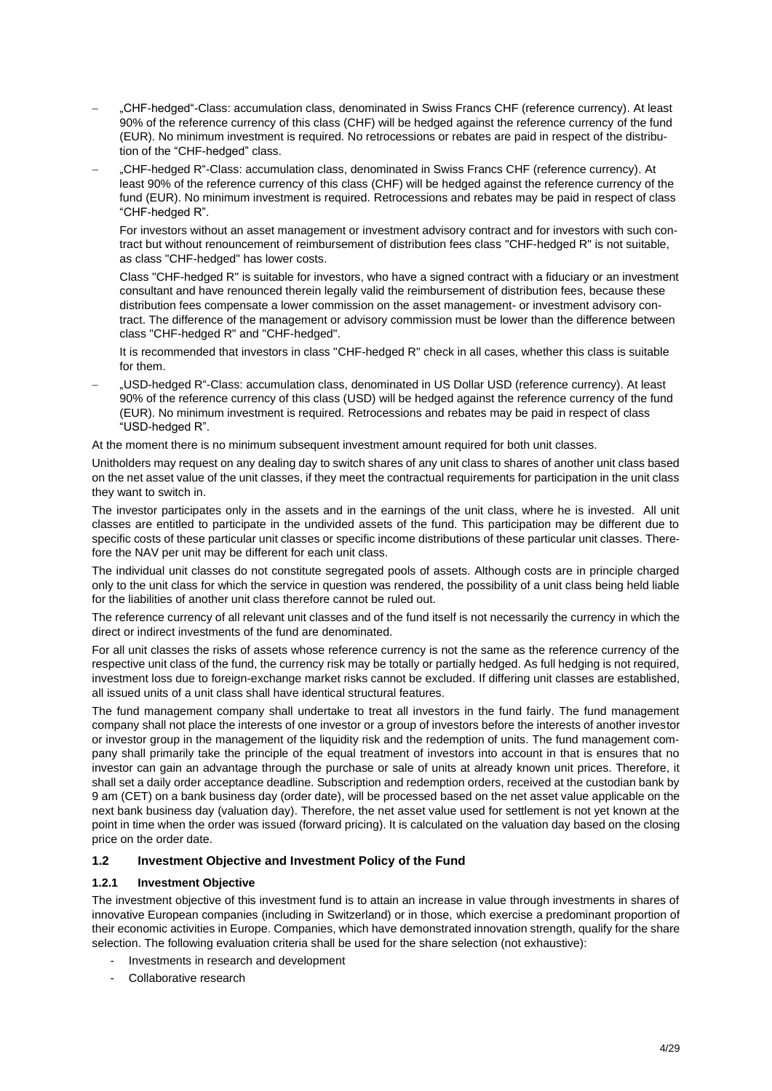- − "CHF-hedged"-Class: accumulation class, denominated in Swiss Francs CHF (reference currency). At least 90% of the reference currency of this class (CHF) will be hedged against the reference currency of the fund (EUR). No minimum investment is required. No retrocessions or rebates are paid in respect of the distribution of the "CHF-hedged" class.
- − "CHF-hedged R"-Class: accumulation class, denominated in Swiss Francs CHF (reference currency). At least 90% of the reference currency of this class (CHF) will be hedged against the reference currency of the fund (EUR). No minimum investment is required. Retrocessions and rebates may be paid in respect of class "CHF-hedged R".

For investors without an asset management or investment advisory contract and for investors with such contract but without renouncement of reimbursement of distribution fees class "CHF-hedged R" is not suitable, as class "CHF-hedged" has lower costs.

Class "CHF-hedged R" is suitable for investors, who have a signed contract with a fiduciary or an investment consultant and have renounced therein legally valid the reimbursement of distribution fees, because these distribution fees compensate a lower commission on the asset management- or investment advisory contract. The difference of the management or advisory commission must be lower than the difference between class "CHF-hedged R" and "CHF-hedged".

It is recommended that investors in class "CHF-hedged R" check in all cases, whether this class is suitable for them.

− "USD-hedged R"-Class: accumulation class, denominated in US Dollar USD (reference currency). At least 90% of the reference currency of this class (USD) will be hedged against the reference currency of the fund (EUR). No minimum investment is required. Retrocessions and rebates may be paid in respect of class "USD-hedged R".

At the moment there is no minimum subsequent investment amount required for both unit classes.

Unitholders may request on any dealing day to switch shares of any unit class to shares of another unit class based on the net asset value of the unit classes, if they meet the contractual requirements for participation in the unit class they want to switch in.

The investor participates only in the assets and in the earnings of the unit class, where he is invested. All unit classes are entitled to participate in the undivided assets of the fund. This participation may be different due to specific costs of these particular unit classes or specific income distributions of these particular unit classes. Therefore the NAV per unit may be different for each unit class.

The individual unit classes do not constitute segregated pools of assets. Although costs are in principle charged only to the unit class for which the service in question was rendered, the possibility of a unit class being held liable for the liabilities of another unit class therefore cannot be ruled out.

The reference currency of all relevant unit classes and of the fund itself is not necessarily the currency in which the direct or indirect investments of the fund are denominated.

For all unit classes the risks of assets whose reference currency is not the same as the reference currency of the respective unit class of the fund, the currency risk may be totally or partially hedged. As full hedging is not required, investment loss due to foreign-exchange market risks cannot be excluded. If differing unit classes are established, all issued units of a unit class shall have identical structural features.

The fund management company shall undertake to treat all investors in the fund fairly. The fund management company shall not place the interests of one investor or a group of investors before the interests of another investor or investor group in the management of the liquidity risk and the redemption of units. The fund management company shall primarily take the principle of the equal treatment of investors into account in that is ensures that no investor can gain an advantage through the purchase or sale of units at already known unit prices. Therefore, it shall set a daily order acceptance deadline. Subscription and redemption orders, received at the custodian bank by 9 am (CET) on a bank business day (order date), will be processed based on the net asset value applicable on the next bank business day (valuation day). Therefore, the net asset value used for settlement is not yet known at the point in time when the order was issued (forward pricing). It is calculated on the valuation day based on the closing price on the order date.

#### <span id="page-5-0"></span>**1.2 Investment Objective and Investment Policy of the Fund**

#### **1.2.1 Investment Objective**

The investment objective of this investment fund is to attain an increase in value through investments in shares of innovative European companies (including in Switzerland) or in those, which exercise a predominant proportion of their economic activities in Europe. Companies, which have demonstrated innovation strength, qualify for the share selection. The following evaluation criteria shall be used for the share selection (not exhaustive):

- Investments in research and development
- Collaborative research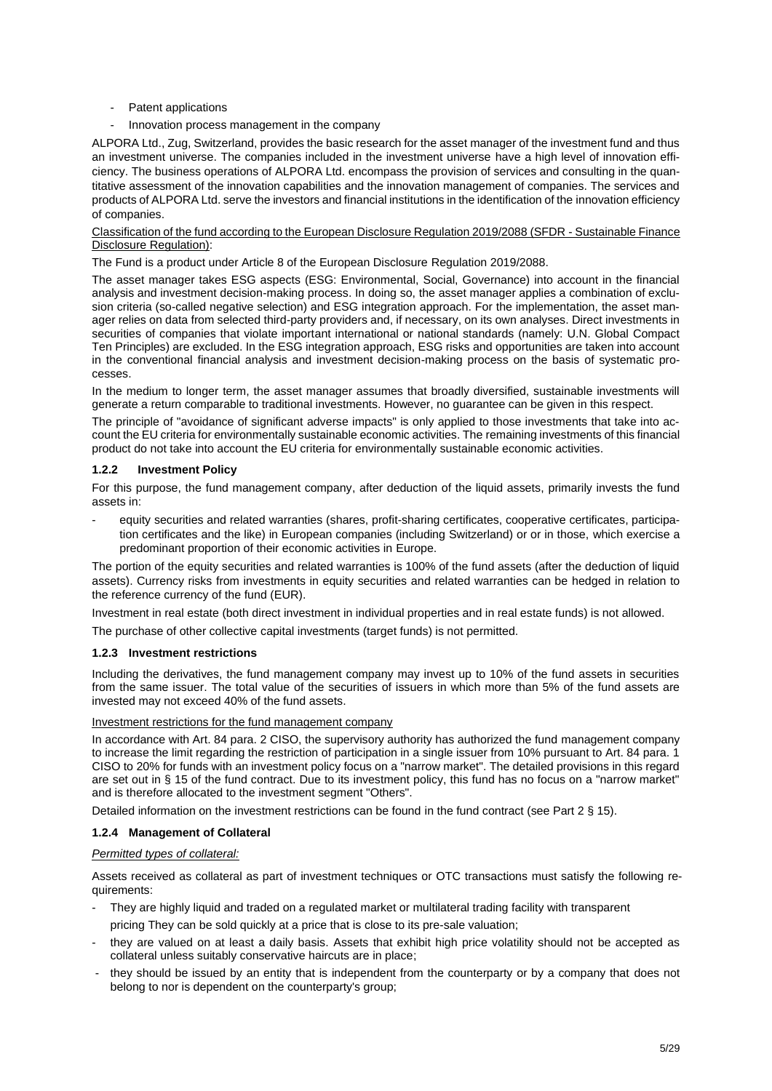- Patent applications
- Innovation process management in the company

ALPORA Ltd., Zug, Switzerland, provides the basic research for the asset manager of the investment fund and thus an investment universe. The companies included in the investment universe have a high level of innovation efficiency. The business operations of ALPORA Ltd. encompass the provision of services and consulting in the quantitative assessment of the innovation capabilities and the innovation management of companies. The services and products of ALPORA Ltd. serve the investors and financial institutions in the identification of the innovation efficiency of companies.

#### Classification of the fund according to the European Disclosure Regulation 2019/2088 (SFDR - Sustainable Finance Disclosure Regulation):

The Fund is a product under Article 8 of the European Disclosure Regulation 2019/2088.

The asset manager takes ESG aspects (ESG: Environmental, Social, Governance) into account in the financial analysis and investment decision-making process. In doing so, the asset manager applies a combination of exclusion criteria (so-called negative selection) and ESG integration approach. For the implementation, the asset manager relies on data from selected third-party providers and, if necessary, on its own analyses. Direct investments in securities of companies that violate important international or national standards (namely: U.N. Global Compact Ten Principles) are excluded. In the ESG integration approach, ESG risks and opportunities are taken into account in the conventional financial analysis and investment decision-making process on the basis of systematic processes.

In the medium to longer term, the asset manager assumes that broadly diversified, sustainable investments will generate a return comparable to traditional investments. However, no guarantee can be given in this respect.

The principle of "avoidance of significant adverse impacts" is only applied to those investments that take into account the EU criteria for environmentally sustainable economic activities. The remaining investments of this financial product do not take into account the EU criteria for environmentally sustainable economic activities.

#### **1.2.2 Investment Policy**

For this purpose, the fund management company, after deduction of the liquid assets, primarily invests the fund assets in:

equity securities and related warranties (shares, profit-sharing certificates, cooperative certificates, participation certificates and the like) in European companies (including Switzerland) or or in those, which exercise a predominant proportion of their economic activities in Europe.

The portion of the equity securities and related warranties is 100% of the fund assets (after the deduction of liquid assets). Currency risks from investments in equity securities and related warranties can be hedged in relation to the reference currency of the fund (EUR).

Investment in real estate (both direct investment in individual properties and in real estate funds) is not allowed.

The purchase of other collective capital investments (target funds) is not permitted.

#### **1.2.3 Investment restrictions**

Including the derivatives, the fund management company may invest up to 10% of the fund assets in securities from the same issuer. The total value of the securities of issuers in which more than 5% of the fund assets are invested may not exceed 40% of the fund assets.

#### Investment restrictions for the fund management company

In accordance with Art. 84 para. 2 CISO, the supervisory authority has authorized the fund management company to increase the limit regarding the restriction of participation in a single issuer from 10% pursuant to Art. 84 para. 1 CISO to 20% for funds with an investment policy focus on a "narrow market". The detailed provisions in this regard are set out in § 15 of the fund contract. Due to its investment policy, this fund has no focus on a "narrow market" and is therefore allocated to the investment segment "Others".

Detailed information on the investment restrictions can be found in the fund contract (see Part 2 § 15).

#### **1.2.4 Management of Collateral**

#### *Permitted types of collateral:*

Assets received as collateral as part of investment techniques or OTC transactions must satisfy the following requirements:

- They are highly liquid and traded on a regulated market or multilateral trading facility with transparent
	- pricing They can be sold quickly at a price that is close to its pre-sale valuation;
- they are valued on at least a daily basis. Assets that exhibit high price volatility should not be accepted as collateral unless suitably conservative haircuts are in place;
- they should be issued by an entity that is independent from the counterparty or by a company that does not belong to nor is dependent on the counterparty's group;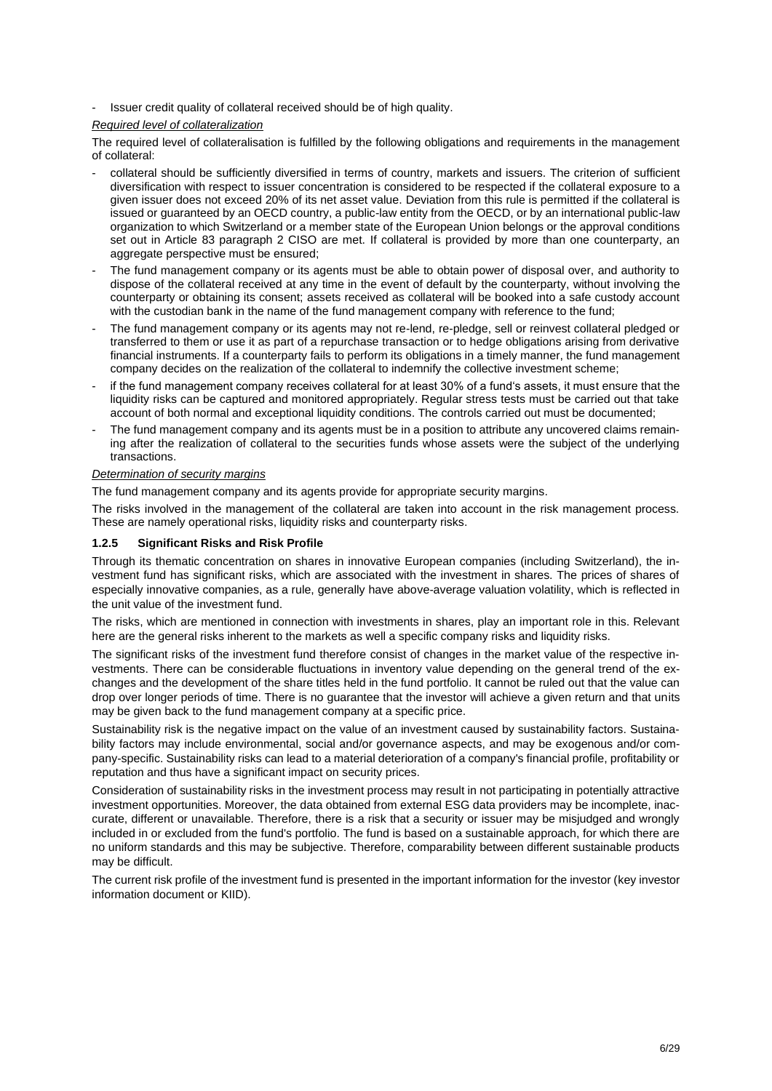Issuer credit quality of collateral received should be of high quality.

#### *Required level of collateralization*

The required level of collateralisation is fulfilled by the following obligations and requirements in the management of collateral:

- collateral should be sufficiently diversified in terms of country, markets and issuers. The criterion of sufficient diversification with respect to issuer concentration is considered to be respected if the collateral exposure to a given issuer does not exceed 20% of its net asset value. Deviation from this rule is permitted if the collateral is issued or guaranteed by an OECD country, a public-law entity from the OECD, or by an international public-law organization to which Switzerland or a member state of the European Union belongs or the approval conditions set out in Article 83 paragraph 2 CISO are met. If collateral is provided by more than one counterparty, an aggregate perspective must be ensured;
- The fund management company or its agents must be able to obtain power of disposal over, and authority to dispose of the collateral received at any time in the event of default by the counterparty, without involving the counterparty or obtaining its consent; assets received as collateral will be booked into a safe custody account with the custodian bank in the name of the fund management company with reference to the fund;
- The fund management company or its agents may not re-lend, re-pledge, sell or reinvest collateral pledged or transferred to them or use it as part of a repurchase transaction or to hedge obligations arising from derivative financial instruments. If a counterparty fails to perform its obligations in a timely manner, the fund management company decides on the realization of the collateral to indemnify the collective investment scheme;
- if the fund management company receives collateral for at least 30% of a fund's assets, it must ensure that the liquidity risks can be captured and monitored appropriately. Regular stress tests must be carried out that take account of both normal and exceptional liquidity conditions. The controls carried out must be documented;
- The fund management company and its agents must be in a position to attribute any uncovered claims remaining after the realization of collateral to the securities funds whose assets were the subject of the underlying transactions.

#### *Determination of security margins*

The fund management company and its agents provide for appropriate security margins.

The risks involved in the management of the collateral are taken into account in the risk management process. These are namely operational risks, liquidity risks and counterparty risks.

#### **1.2.5 Significant Risks and Risk Profile**

Through its thematic concentration on shares in innovative European companies (including Switzerland), the investment fund has significant risks, which are associated with the investment in shares. The prices of shares of especially innovative companies, as a rule, generally have above-average valuation volatility, which is reflected in the unit value of the investment fund.

The risks, which are mentioned in connection with investments in shares, play an important role in this. Relevant here are the general risks inherent to the markets as well a specific company risks and liquidity risks.

The significant risks of the investment fund therefore consist of changes in the market value of the respective investments. There can be considerable fluctuations in inventory value depending on the general trend of the exchanges and the development of the share titles held in the fund portfolio. It cannot be ruled out that the value can drop over longer periods of time. There is no guarantee that the investor will achieve a given return and that units may be given back to the fund management company at a specific price.

Sustainability risk is the negative impact on the value of an investment caused by sustainability factors. Sustainability factors may include environmental, social and/or governance aspects, and may be exogenous and/or company-specific. Sustainability risks can lead to a material deterioration of a company's financial profile, profitability or reputation and thus have a significant impact on security prices.

Consideration of sustainability risks in the investment process may result in not participating in potentially attractive investment opportunities. Moreover, the data obtained from external ESG data providers may be incomplete, inaccurate, different or unavailable. Therefore, there is a risk that a security or issuer may be misjudged and wrongly included in or excluded from the fund's portfolio. The fund is based on a sustainable approach, for which there are no uniform standards and this may be subjective. Therefore, comparability between different sustainable products may be difficult.

The current risk profile of the investment fund is presented in the important information for the investor (key investor information document or KIID).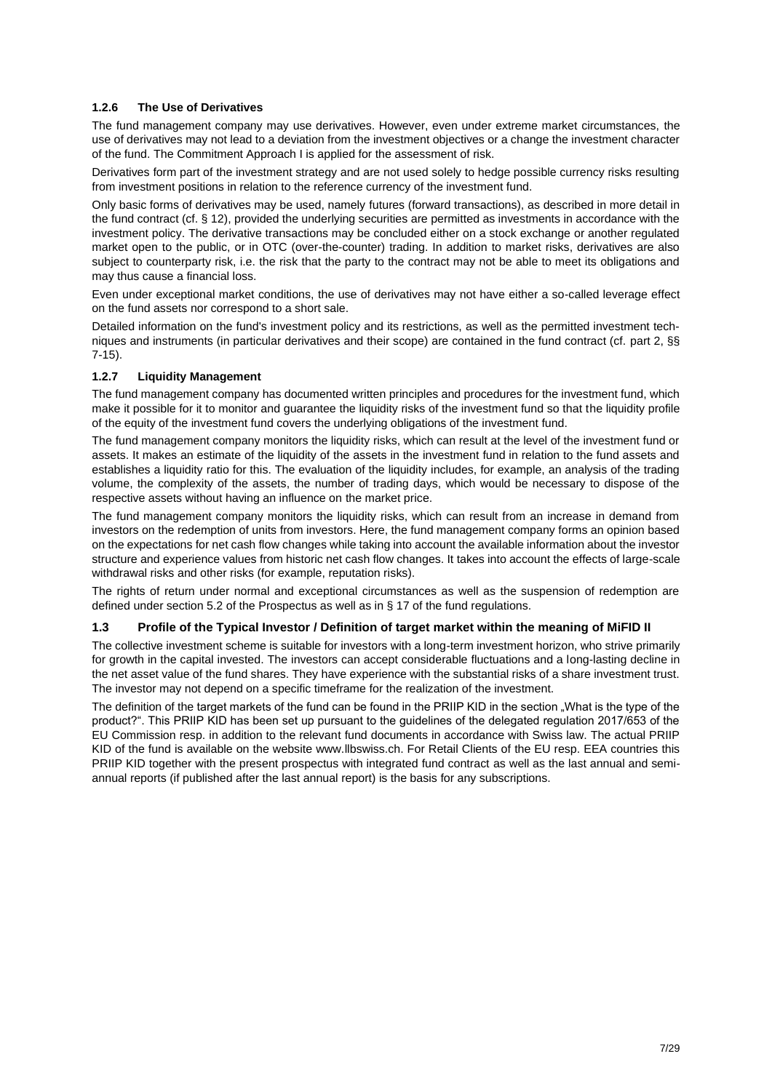#### **1.2.6 The Use of Derivatives**

The fund management company may use derivatives. However, even under extreme market circumstances, the use of derivatives may not lead to a deviation from the investment objectives or a change the investment character of the fund. The Commitment Approach I is applied for the assessment of risk.

Derivatives form part of the investment strategy and are not used solely to hedge possible currency risks resulting from investment positions in relation to the reference currency of the investment fund.

Only basic forms of derivatives may be used, namely futures (forward transactions), as described in more detail in the fund contract (cf. § 12), provided the underlying securities are permitted as investments in accordance with the investment policy. The derivative transactions may be concluded either on a stock exchange or another regulated market open to the public, or in OTC (over-the-counter) trading. In addition to market risks, derivatives are also subject to counterparty risk, i.e. the risk that the party to the contract may not be able to meet its obligations and may thus cause a financial loss.

Even under exceptional market conditions, the use of derivatives may not have either a so-called leverage effect on the fund assets nor correspond to a short sale.

Detailed information on the fund's investment policy and its restrictions, as well as the permitted investment techniques and instruments (in particular derivatives and their scope) are contained in the fund contract (cf. part 2, §§ 7-15).

#### **1.2.7 Liquidity Management**

The fund management company has documented written principles and procedures for the investment fund, which make it possible for it to monitor and guarantee the liquidity risks of the investment fund so that the liquidity profile of the equity of the investment fund covers the underlying obligations of the investment fund.

The fund management company monitors the liquidity risks, which can result at the level of the investment fund or assets. It makes an estimate of the liquidity of the assets in the investment fund in relation to the fund assets and establishes a liquidity ratio for this. The evaluation of the liquidity includes, for example, an analysis of the trading volume, the complexity of the assets, the number of trading days, which would be necessary to dispose of the respective assets without having an influence on the market price.

The fund management company monitors the liquidity risks, which can result from an increase in demand from investors on the redemption of units from investors. Here, the fund management company forms an opinion based on the expectations for net cash flow changes while taking into account the available information about the investor structure and experience values from historic net cash flow changes. It takes into account the effects of large-scale withdrawal risks and other risks (for example, reputation risks).

The rights of return under normal and exceptional circumstances as well as the suspension of redemption are defined under section 5.2 of the Prospectus as well as in § 17 of the fund regulations.

#### <span id="page-8-0"></span>**1.3 Profile of the Typical Investor / Definition of target market within the meaning of MiFID II**

The collective investment scheme is suitable for investors with a long-term investment horizon, who strive primarily for growth in the capital invested. The investors can accept considerable fluctuations and a long-lasting decline in the net asset value of the fund shares. They have experience with the substantial risks of a share investment trust. The investor may not depend on a specific timeframe for the realization of the investment.

The definition of the target markets of the fund can be found in the PRIIP KID in the section . What is the type of the product?". This PRIIP KID has been set up pursuant to the guidelines of the delegated regulation 2017/653 of the EU Commission resp. in addition to the relevant fund documents in accordance with Swiss law. The actual PRIIP KID of the fund is available on the website www.llbswiss.ch. For Retail Clients of the EU resp. EEA countries this PRIIP KID together with the present prospectus with integrated fund contract as well as the last annual and semiannual reports (if published after the last annual report) is the basis for any subscriptions.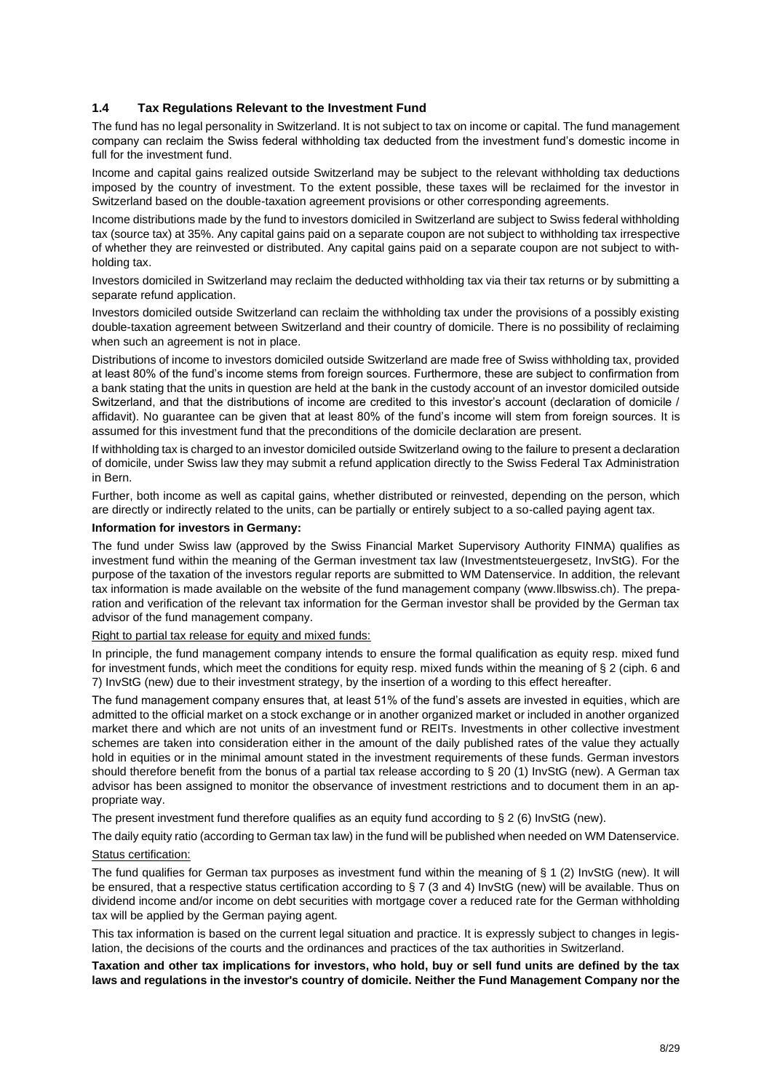#### <span id="page-9-0"></span>**1.4 Tax Regulations Relevant to the Investment Fund**

The fund has no legal personality in Switzerland. It is not subject to tax on income or capital. The fund management company can reclaim the Swiss federal withholding tax deducted from the investment fund's domestic income in full for the investment fund.

Income and capital gains realized outside Switzerland may be subject to the relevant withholding tax deductions imposed by the country of investment. To the extent possible, these taxes will be reclaimed for the investor in Switzerland based on the double-taxation agreement provisions or other corresponding agreements.

Income distributions made by the fund to investors domiciled in Switzerland are subject to Swiss federal withholding tax (source tax) at 35%. Any capital gains paid on a separate coupon are not subject to withholding tax irrespective of whether they are reinvested or distributed. Any capital gains paid on a separate coupon are not subject to withholding tax.

Investors domiciled in Switzerland may reclaim the deducted withholding tax via their tax returns or by submitting a separate refund application.

Investors domiciled outside Switzerland can reclaim the withholding tax under the provisions of a possibly existing double-taxation agreement between Switzerland and their country of domicile. There is no possibility of reclaiming when such an agreement is not in place.

Distributions of income to investors domiciled outside Switzerland are made free of Swiss withholding tax, provided at least 80% of the fund's income stems from foreign sources. Furthermore, these are subject to confirmation from a bank stating that the units in question are held at the bank in the custody account of an investor domiciled outside Switzerland, and that the distributions of income are credited to this investor's account (declaration of domicile / affidavit). No guarantee can be given that at least 80% of the fund's income will stem from foreign sources. It is assumed for this investment fund that the preconditions of the domicile declaration are present.

If withholding tax is charged to an investor domiciled outside Switzerland owing to the failure to present a declaration of domicile, under Swiss law they may submit a refund application directly to the Swiss Federal Tax Administration in Bern.

Further, both income as well as capital gains, whether distributed or reinvested, depending on the person, which are directly or indirectly related to the units, can be partially or entirely subject to a so-called paying agent tax.

#### **Information for investors in Germany:**

The fund under Swiss law (approved by the Swiss Financial Market Supervisory Authority FINMA) qualifies as investment fund within the meaning of the German investment tax law (Investmentsteuergesetz, InvStG). For the purpose of the taxation of the investors regular reports are submitted to WM Datenservice. In addition, the relevant tax information is made available on the website of the fund management company (www.llbswiss.ch). The preparation and verification of the relevant tax information for the German investor shall be provided by the German tax advisor of the fund management company.

#### Right to partial tax release for equity and mixed funds:

In principle, the fund management company intends to ensure the formal qualification as equity resp. mixed fund for investment funds, which meet the conditions for equity resp. mixed funds within the meaning of § 2 (ciph. 6 and 7) InvStG (new) due to their investment strategy, by the insertion of a wording to this effect hereafter.

The fund management company ensures that, at least 51% of the fund's assets are invested in equities, which are admitted to the official market on a stock exchange or in another organized market or included in another organized market there and which are not units of an investment fund or REITs. Investments in other collective investment schemes are taken into consideration either in the amount of the daily published rates of the value they actually hold in equities or in the minimal amount stated in the investment requirements of these funds. German investors should therefore benefit from the bonus of a partial tax release according to § 20 (1) InvStG (new). A German tax advisor has been assigned to monitor the observance of investment restrictions and to document them in an appropriate way.

The present investment fund therefore qualifies as an equity fund according to § 2 (6) InvStG (new).

The daily equity ratio (according to German tax law) in the fund will be published when needed on WM Datenservice. Status certification:

The fund qualifies for German tax purposes as investment fund within the meaning of § 1 (2) InvStG (new). It will be ensured, that a respective status certification according to § 7 (3 and 4) InvStG (new) will be available. Thus on dividend income and/or income on debt securities with mortgage cover a reduced rate for the German withholding tax will be applied by the German paying agent.

This tax information is based on the current legal situation and practice. It is expressly subject to changes in legislation, the decisions of the courts and the ordinances and practices of the tax authorities in Switzerland.

**Taxation and other tax implications for investors, who hold, buy or sell fund units are defined by the tax laws and regulations in the investor's country of domicile. Neither the Fund Management Company nor the**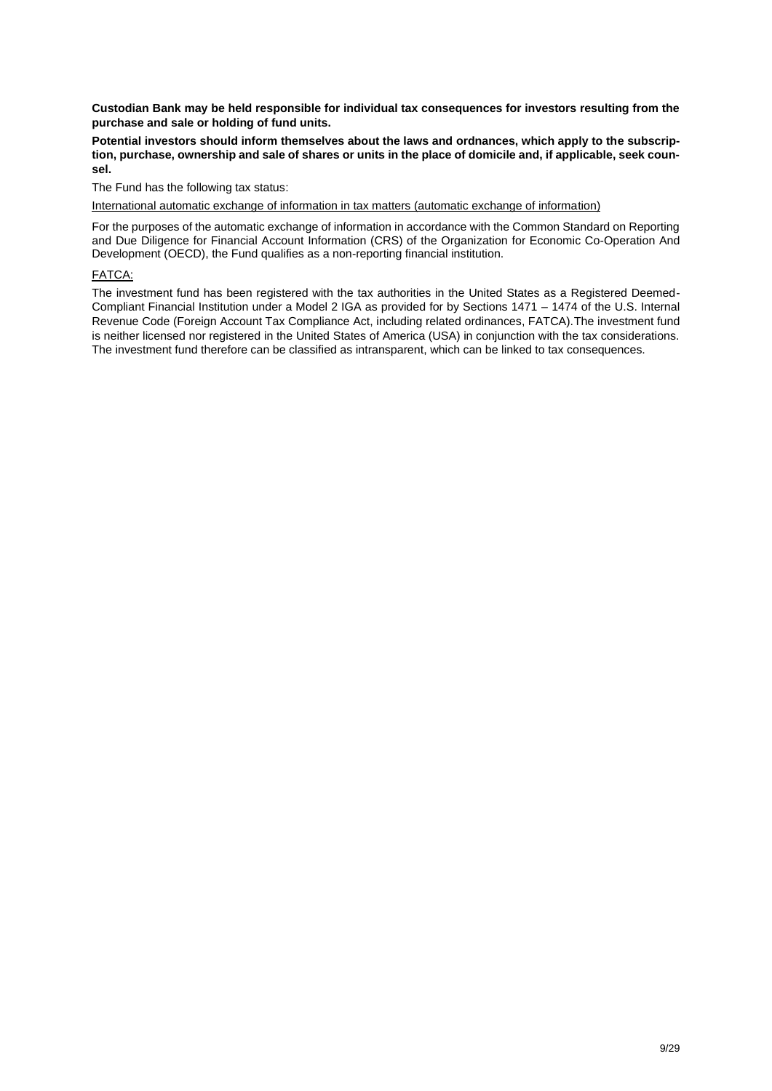**Custodian Bank may be held responsible for individual tax consequences for investors resulting from the purchase and sale or holding of fund units.**

**Potential investors should inform themselves about the laws and ordnances, which apply to the subscription, purchase, ownership and sale of shares or units in the place of domicile and, if applicable, seek counsel.** 

The Fund has the following tax status:

International automatic exchange of information in tax matters (automatic exchange of information)

For the purposes of the automatic exchange of information in accordance with the Common Standard on Reporting and Due Diligence for Financial Account Information (CRS) of the Organization for Economic Co-Operation And Development (OECD), the Fund qualifies as a non-reporting financial institution.

#### FATCA:

The investment fund has been registered with the tax authorities in the United States as a Registered Deemed-Compliant Financial Institution under a Model 2 IGA as provided for by Sections 1471 – 1474 of the U.S. Internal Revenue Code (Foreign Account Tax Compliance Act, including related ordinances, FATCA).The investment fund is neither licensed nor registered in the United States of America (USA) in conjunction with the tax considerations. The investment fund therefore can be classified as intransparent, which can be linked to tax consequences.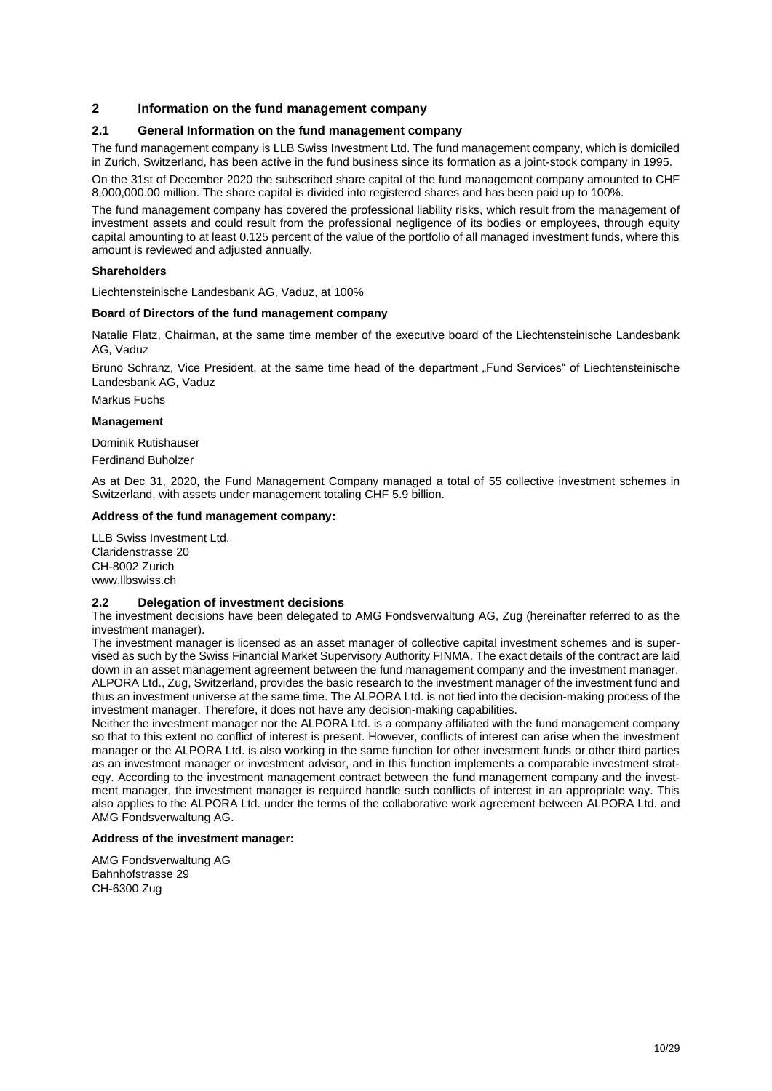#### <span id="page-11-0"></span>**2 Information on the fund management company**

#### <span id="page-11-1"></span>**2.1 General Information on the fund management company**

The fund management company is LLB Swiss Investment Ltd. The fund management company, which is domiciled in Zurich, Switzerland, has been active in the fund business since its formation as a joint-stock company in 1995.

On the 31st of December 2020 the subscribed share capital of the fund management company amounted to CHF 8,000,000.00 million. The share capital is divided into registered shares and has been paid up to 100%.

The fund management company has covered the professional liability risks, which result from the management of investment assets and could result from the professional negligence of its bodies or employees, through equity capital amounting to at least 0.125 percent of the value of the portfolio of all managed investment funds, where this amount is reviewed and adjusted annually.

#### **Shareholders**

Liechtensteinische Landesbank AG, Vaduz, at 100%

#### **Board of Directors of the fund management company**

Natalie Flatz, Chairman, at the same time member of the executive board of the Liechtensteinische Landesbank AG, Vaduz

Bruno Schranz, Vice President, at the same time head of the department "Fund Services" of Liechtensteinische Landesbank AG, Vaduz

Markus Fuchs

#### **Management**

Dominik Rutishauser

Ferdinand Buholzer

As at Dec 31, 2020, the Fund Management Company managed a total of 55 collective investment schemes in Switzerland, with assets under management totaling CHF 5.9 billion.

#### **Address of the fund management company:**

LLB Swiss Investment Ltd. Claridenstrasse 20 CH-8002 Zurich www.llbswiss.ch

#### <span id="page-11-2"></span>**2.2 Delegation of investment decisions**

The investment decisions have been delegated to AMG Fondsverwaltung AG, Zug (hereinafter referred to as the investment manager).

The investment manager is licensed as an asset manager of collective capital investment schemes and is supervised as such by the Swiss Financial Market Supervisory Authority FINMA. The exact details of the contract are laid down in an asset management agreement between the fund management company and the investment manager. ALPORA Ltd., Zug, Switzerland, provides the basic research to the investment manager of the investment fund and thus an investment universe at the same time. The ALPORA Ltd. is not tied into the decision-making process of the investment manager. Therefore, it does not have any decision-making capabilities.

Neither the investment manager nor the ALPORA Ltd. is a company affiliated with the fund management company so that to this extent no conflict of interest is present. However, conflicts of interest can arise when the investment manager or the ALPORA Ltd. is also working in the same function for other investment funds or other third parties as an investment manager or investment advisor, and in this function implements a comparable investment strategy. According to the investment management contract between the fund management company and the investment manager, the investment manager is required handle such conflicts of interest in an appropriate way. This also applies to the ALPORA Ltd. under the terms of the collaborative work agreement between ALPORA Ltd. and AMG Fondsverwaltung AG.

#### **Address of the investment manager:**

AMG Fondsverwaltung AG Bahnhofstrasse 29 CH-6300 Zug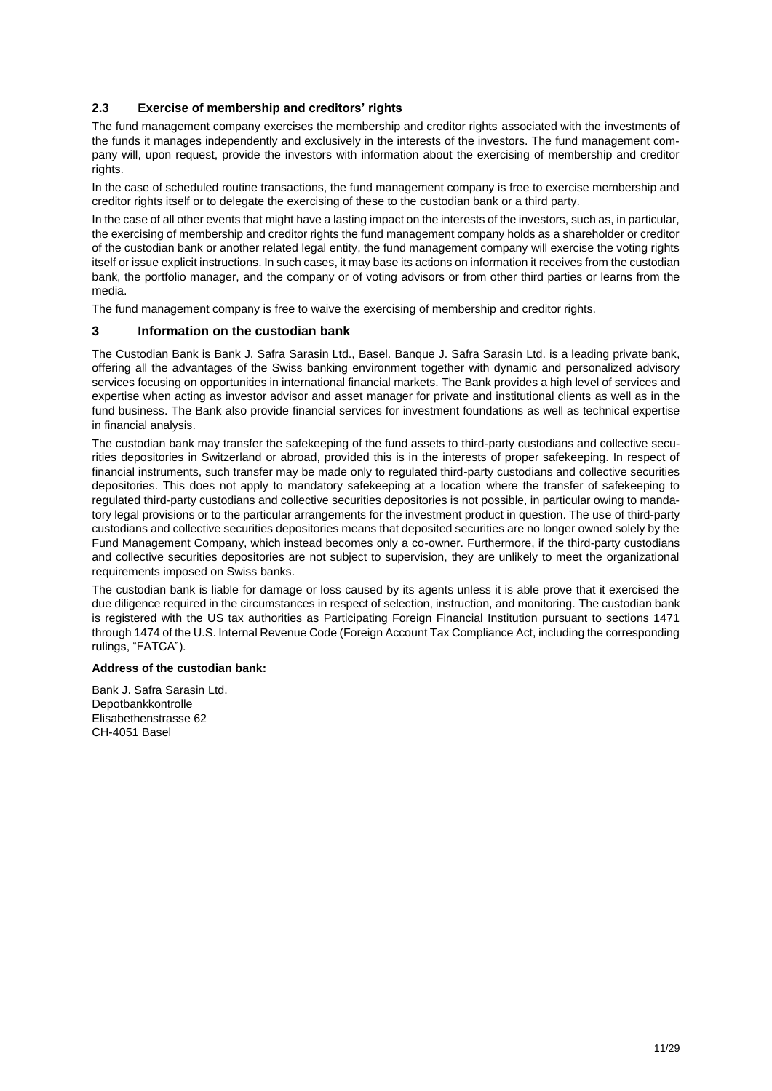#### <span id="page-12-0"></span>**2.3 Exercise of membership and creditors' rights**

The fund management company exercises the membership and creditor rights associated with the investments of the funds it manages independently and exclusively in the interests of the investors. The fund management company will, upon request, provide the investors with information about the exercising of membership and creditor rights.

In the case of scheduled routine transactions, the fund management company is free to exercise membership and creditor rights itself or to delegate the exercising of these to the custodian bank or a third party.

In the case of all other events that might have a lasting impact on the interests of the investors, such as, in particular, the exercising of membership and creditor rights the fund management company holds as a shareholder or creditor of the custodian bank or another related legal entity, the fund management company will exercise the voting rights itself or issue explicit instructions. In such cases, it may base its actions on information it receives from the custodian bank, the portfolio manager, and the company or of voting advisors or from other third parties or learns from the media.

The fund management company is free to waive the exercising of membership and creditor rights.

#### <span id="page-12-1"></span>**3 Information on the custodian bank**

The Custodian Bank is Bank J. Safra Sarasin Ltd., Basel. Banque J. Safra Sarasin Ltd. is a leading private bank, offering all the advantages of the Swiss banking environment together with dynamic and personalized advisory services focusing on opportunities in international financial markets. The Bank provides a high level of services and expertise when acting as investor advisor and asset manager for private and institutional clients as well as in the fund business. The Bank also provide financial services for investment foundations as well as technical expertise in financial analysis.

The custodian bank may transfer the safekeeping of the fund assets to third-party custodians and collective securities depositories in Switzerland or abroad, provided this is in the interests of proper safekeeping. In respect of financial instruments, such transfer may be made only to regulated third-party custodians and collective securities depositories. This does not apply to mandatory safekeeping at a location where the transfer of safekeeping to regulated third-party custodians and collective securities depositories is not possible, in particular owing to mandatory legal provisions or to the particular arrangements for the investment product in question. The use of third-party custodians and collective securities depositories means that deposited securities are no longer owned solely by the Fund Management Company, which instead becomes only a co-owner. Furthermore, if the third-party custodians and collective securities depositories are not subject to supervision, they are unlikely to meet the organizational requirements imposed on Swiss banks.

The custodian bank is liable for damage or loss caused by its agents unless it is able prove that it exercised the due diligence required in the circumstances in respect of selection, instruction, and monitoring. The custodian bank is registered with the US tax authorities as Participating Foreign Financial Institution pursuant to sections 1471 through 1474 of the U.S. Internal Revenue Code (Foreign Account Tax Compliance Act, including the corresponding rulings, "FATCA").

#### **Address of the custodian bank:**

Bank J. Safra Sarasin Ltd. Depotbankkontrolle Elisabethenstrasse 62 CH-4051 Basel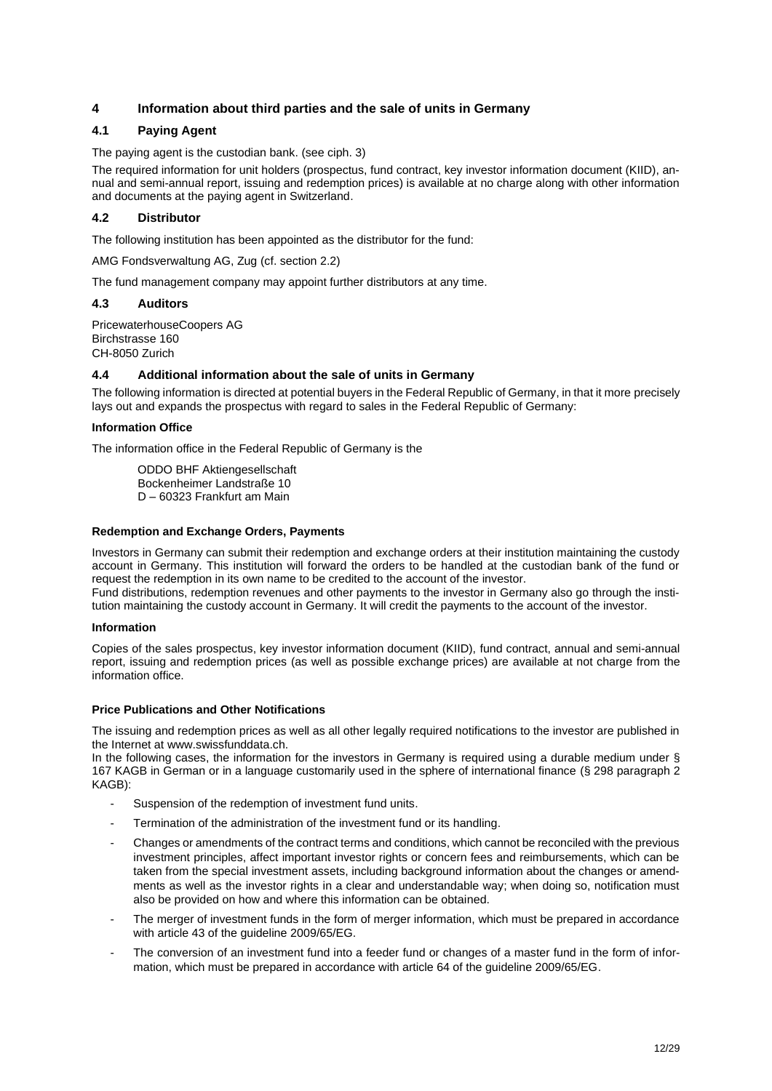#### <span id="page-13-0"></span>**4 Information about third parties and the sale of units in Germany**

#### <span id="page-13-1"></span>**4.1 Paying Agent**

The paying agent is the custodian bank. (see ciph. 3)

The required information for unit holders (prospectus, fund contract, key investor information document (KIID), annual and semi-annual report, issuing and redemption prices) is available at no charge along with other information and documents at the paying agent in Switzerland.

#### <span id="page-13-2"></span>**4.2 Distributor**

The following institution has been appointed as the distributor for the fund:

AMG Fondsverwaltung AG, Zug (cf. section 2.2)

The fund management company may appoint further distributors at any time.

#### <span id="page-13-3"></span>**4.3 Auditors**

PricewaterhouseCoopers AG Birchstrasse 160 CH-8050 Zurich

#### <span id="page-13-4"></span>**4.4 Additional information about the sale of units in Germany**

The following information is directed at potential buyers in the Federal Republic of Germany, in that it more precisely lays out and expands the prospectus with regard to sales in the Federal Republic of Germany:

#### **Information Office**

The information office in the Federal Republic of Germany is the

ODDO BHF Aktiengesellschaft Bockenheimer Landstraße 10 D – 60323 Frankfurt am Main

#### **Redemption and Exchange Orders, Payments**

Investors in Germany can submit their redemption and exchange orders at their institution maintaining the custody account in Germany. This institution will forward the orders to be handled at the custodian bank of the fund or request the redemption in its own name to be credited to the account of the investor. Fund distributions, redemption revenues and other payments to the investor in Germany also go through the insti-

tution maintaining the custody account in Germany. It will credit the payments to the account of the investor.

#### **Information**

Copies of the sales prospectus, key investor information document (KIID), fund contract, annual and semi-annual report, issuing and redemption prices (as well as possible exchange prices) are available at not charge from the information office.

#### **Price Publications and Other Notifications**

The issuing and redemption prices as well as all other legally required notifications to the investor are published in the Internet at www.swissfunddata.ch.

In the following cases, the information for the investors in Germany is required using a durable medium under § 167 KAGB in German or in a language customarily used in the sphere of international finance (§ 298 paragraph 2 KAGB):

- Suspension of the redemption of investment fund units.
- Termination of the administration of the investment fund or its handling.
- Changes or amendments of the contract terms and conditions, which cannot be reconciled with the previous investment principles, affect important investor rights or concern fees and reimbursements, which can be taken from the special investment assets, including background information about the changes or amendments as well as the investor rights in a clear and understandable way; when doing so, notification must also be provided on how and where this information can be obtained.
- The merger of investment funds in the form of merger information, which must be prepared in accordance with article 43 of the guideline 2009/65/EG.
- The conversion of an investment fund into a feeder fund or changes of a master fund in the form of information, which must be prepared in accordance with article 64 of the guideline 2009/65/EG.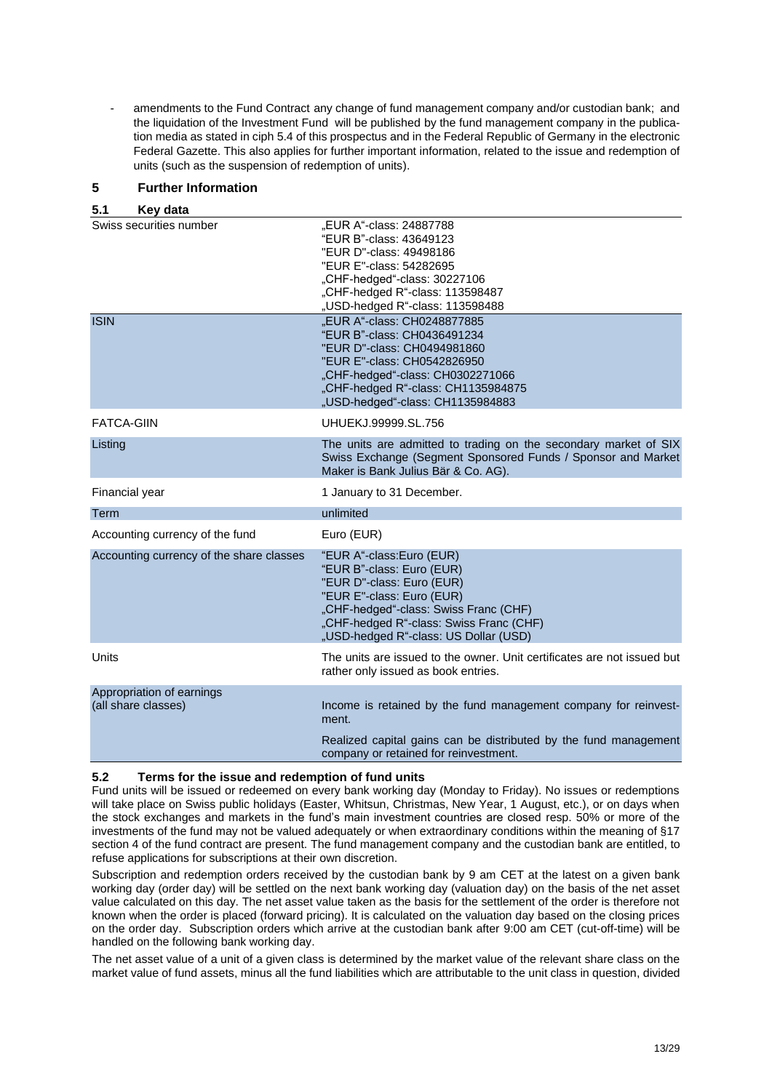amendments to the Fund Contract any change of fund management company and/or custodian bank; and the liquidation of the Investment Fund will be published by the fund management company in the publication media as stated in ciph 5.4 of this prospectus and in the Federal Republic of Germany in the electronic Federal Gazette. This also applies for further important information, related to the issue and redemption of units (such as the suspension of redemption of units).

#### <span id="page-14-0"></span>**5 Further Information**

#### <span id="page-14-1"></span>**5.1 Key data**

| Swiss securities number                          | "EUR A"-class: 24887788<br>"EUR B"-class: 43649123<br>"EUR D"-class: 49498186<br>"EUR E"-class: 54282695<br>"CHF-hedged"-class: 30227106<br>"CHF-hedged R"-class: 113598487<br>"USD-hedged R"-class: 113598488                               |
|--------------------------------------------------|----------------------------------------------------------------------------------------------------------------------------------------------------------------------------------------------------------------------------------------------|
| <b>ISIN</b>                                      | "EUR A"-class: CH0248877885<br>"EUR B"-class: CH0436491234<br>"EUR D"-class: CH0494981860<br>"EUR E"-class: CH0542826950<br>"CHF-hedged"-class: CH0302271066<br>"CHF-hedged R"-class: CH1135984875<br>"USD-hedged"-class: CH1135984883       |
| <b>FATCA-GIIN</b>                                | UHUEKJ.99999.SL.756                                                                                                                                                                                                                          |
| Listing                                          | The units are admitted to trading on the secondary market of SIX<br>Swiss Exchange (Segment Sponsored Funds / Sponsor and Market<br>Maker is Bank Julius Bär & Co. AG).                                                                      |
| Financial year                                   | 1 January to 31 December.                                                                                                                                                                                                                    |
| Term                                             | unlimited                                                                                                                                                                                                                                    |
| Accounting currency of the fund                  | Euro (EUR)                                                                                                                                                                                                                                   |
| Accounting currency of the share classes         | "EUR A"-class:Euro (EUR)<br>"EUR B"-class: Euro (EUR)<br>"EUR D"-class: Euro (EUR)<br>"EUR E"-class: Euro (EUR)<br>"CHF-hedged"-class: Swiss Franc (CHF)<br>"CHF-hedged R"-class: Swiss Franc (CHF)<br>"USD-hedged R"-class: US Dollar (USD) |
| Units                                            | The units are issued to the owner. Unit certificates are not issued but<br>rather only issued as book entries.                                                                                                                               |
| Appropriation of earnings<br>(all share classes) | Income is retained by the fund management company for reinvest-<br>ment.<br>Realized capital gains can be distributed by the fund management<br>company or retained for reinvestment.                                                        |

#### <span id="page-14-2"></span>**5.2 Terms for the issue and redemption of fund units**

Fund units will be issued or redeemed on every bank working day (Monday to Friday). No issues or redemptions will take place on Swiss public holidays (Easter, Whitsun, Christmas, New Year, 1 August, etc.), or on days when the stock exchanges and markets in the fund's main investment countries are closed resp. 50% or more of the investments of the fund may not be valued adequately or when extraordinary conditions within the meaning of §17 section 4 of the fund contract are present. The fund management company and the custodian bank are entitled, to refuse applications for subscriptions at their own discretion.

Subscription and redemption orders received by the custodian bank by 9 am CET at the latest on a given bank working day (order day) will be settled on the next bank working day (valuation day) on the basis of the net asset value calculated on this day. The net asset value taken as the basis for the settlement of the order is therefore not known when the order is placed (forward pricing). It is calculated on the valuation day based on the closing prices on the order day. Subscription orders which arrive at the custodian bank after 9:00 am CET (cut-off-time) will be handled on the following bank working day.

The net asset value of a unit of a given class is determined by the market value of the relevant share class on the market value of fund assets, minus all the fund liabilities which are attributable to the unit class in question, divided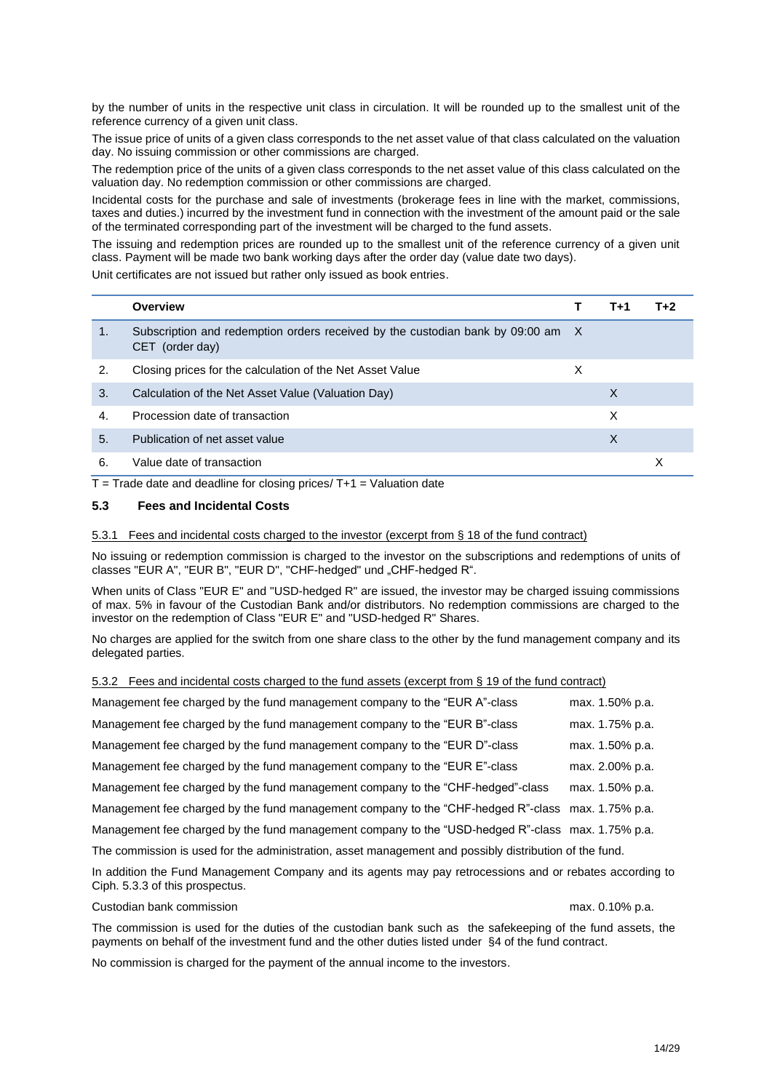by the number of units in the respective unit class in circulation. It will be rounded up to the smallest unit of the reference currency of a given unit class.

The issue price of units of a given class corresponds to the net asset value of that class calculated on the valuation day. No issuing commission or other commissions are charged.

The redemption price of the units of a given class corresponds to the net asset value of this class calculated on the valuation day. No redemption commission or other commissions are charged.

Incidental costs for the purchase and sale of investments (brokerage fees in line with the market, commissions, taxes and duties.) incurred by the investment fund in connection with the investment of the amount paid or the sale of the terminated corresponding part of the investment will be charged to the fund assets.

The issuing and redemption prices are rounded up to the smallest unit of the reference currency of a given unit class. Payment will be made two bank working days after the order day (value date two days).

Unit certificates are not issued but rather only issued as book entries.

|    | Overview                                                                                           |   | T+1 | $T+2$ |
|----|----------------------------------------------------------------------------------------------------|---|-----|-------|
| 1. | Subscription and redemption orders received by the custodian bank by 09:00 am X<br>CET (order day) |   |     |       |
| 2. | Closing prices for the calculation of the Net Asset Value                                          | X |     |       |
| 3. | Calculation of the Net Asset Value (Valuation Day)                                                 |   | X   |       |
| 4. | Procession date of transaction                                                                     |   | X   |       |
| 5. | Publication of net asset value                                                                     |   | X   |       |
| 6. | Value date of transaction                                                                          |   |     | х     |

 $T =$ Trade date and deadline for closing prices/ $T + 1 =$  Valuation date

#### <span id="page-15-0"></span>**5.3 Fees and Incidental Costs**

#### 5.3.1 Fees and incidental costs charged to the investor (excerpt from § 18 of the fund contract)

No issuing or redemption commission is charged to the investor on the subscriptions and redemptions of units of classes "EUR A", "EUR B", "EUR D", "CHF-hedged" und "CHF-hedged R".

When units of Class "EUR E" and "USD-hedged R" are issued, the investor may be charged issuing commissions of max. 5% in favour of the Custodian Bank and/or distributors. No redemption commissions are charged to the investor on the redemption of Class "EUR E" and "USD-hedged R" Shares.

No charges are applied for the switch from one share class to the other by the fund management company and its delegated parties.

#### 5.3.2 Fees and incidental costs charged to the fund assets (excerpt from § 19 of the fund contract)

| Management fee charged by the fund management company to the "EUR A"-class"                            | max. 1.50% p.a. |  |  |  |
|--------------------------------------------------------------------------------------------------------|-----------------|--|--|--|
| Management fee charged by the fund management company to the "EUR B"-class"                            | max. 1.75% p.a. |  |  |  |
| Management fee charged by the fund management company to the "EUR D"-class                             | max. 1.50% p.a. |  |  |  |
| Management fee charged by the fund management company to the "EUR E"-class"                            | max. 2.00% p.a. |  |  |  |
| Management fee charged by the fund management company to the "CHF-hedged"-class                        | max. 1.50% p.a. |  |  |  |
| Management fee charged by the fund management company to the "CHF-hedged R"-class max. 1.75% p.a.      |                 |  |  |  |
| Management fee charged by the fund management company to the "USD-hedged R"-class max. 1.75% p.a.      |                 |  |  |  |
| The commission is used for the administration, asset management and possibly distribution of the fund. |                 |  |  |  |

In addition the Fund Management Company and its agents may pay retrocessions and or rebates according to Ciph. 5.3.3 of this prospectus.

Custodian bank commission max. 0.10% p.a.

The commission is used for the duties of the custodian bank such as the safekeeping of the fund assets, the payments on behalf of the investment fund and the other duties listed under §4 of the fund contract.

No commission is charged for the payment of the annual income to the investors.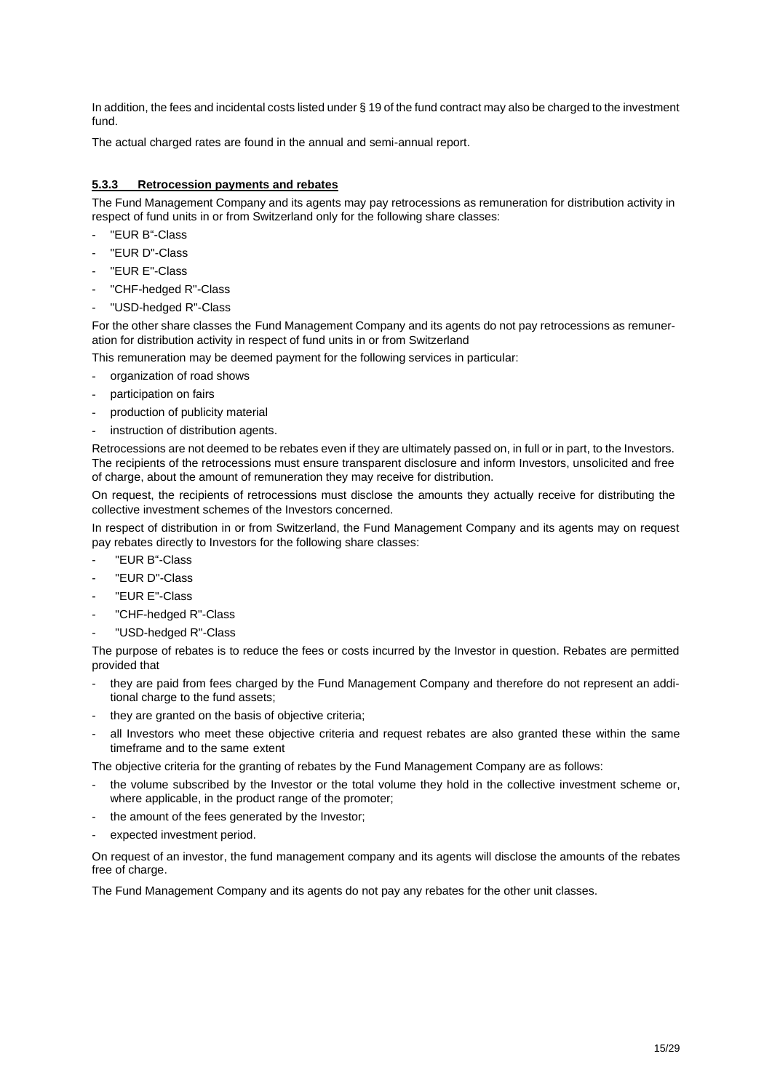In addition, the fees and incidental costs listed under § 19 of the fund contract may also be charged to the investment fund.

The actual charged rates are found in the annual and semi-annual report.

#### **5.3.3 Retrocession payments and rebates**

The Fund Management Company and its agents may pay retrocessions as remuneration for distribution activity in respect of fund units in or from Switzerland only for the following share classes:

- "EUR B"-Class
- "EUR D"-Class
- "EUR E"-Class
- "CHF-hedged R"-Class
- "USD-hedged R"-Class

For the other share classes the Fund Management Company and its agents do not pay retrocessions as remuneration for distribution activity in respect of fund units in or from Switzerland

This remuneration may be deemed payment for the following services in particular:

- organization of road shows
- participation on fairs
- production of publicity material
- instruction of distribution agents.

Retrocessions are not deemed to be rebates even if they are ultimately passed on, in full or in part, to the Investors. The recipients of the retrocessions must ensure transparent disclosure and inform Investors, unsolicited and free of charge, about the amount of remuneration they may receive for distribution.

On request, the recipients of retrocessions must disclose the amounts they actually receive for distributing the collective investment schemes of the Investors concerned.

In respect of distribution in or from Switzerland, the Fund Management Company and its agents may on request pay rebates directly to Investors for the following share classes:

- "EUR B"-Class
- "EUR D"-Class
- "EUR E"-Class
- "CHF-hedged R"-Class
- "USD-hedged R"-Class

The purpose of rebates is to reduce the fees or costs incurred by the Investor in question. Rebates are permitted provided that

- they are paid from fees charged by the Fund Management Company and therefore do not represent an additional charge to the fund assets;
- they are granted on the basis of objective criteria;
- all Investors who meet these objective criteria and request rebates are also granted these within the same timeframe and to the same extent

The objective criteria for the granting of rebates by the Fund Management Company are as follows:

- the volume subscribed by the Investor or the total volume they hold in the collective investment scheme or, where applicable, in the product range of the promoter;
- the amount of the fees generated by the Investor;
- expected investment period.

On request of an investor, the fund management company and its agents will disclose the amounts of the rebates free of charge.

The Fund Management Company and its agents do not pay any rebates for the other unit classes.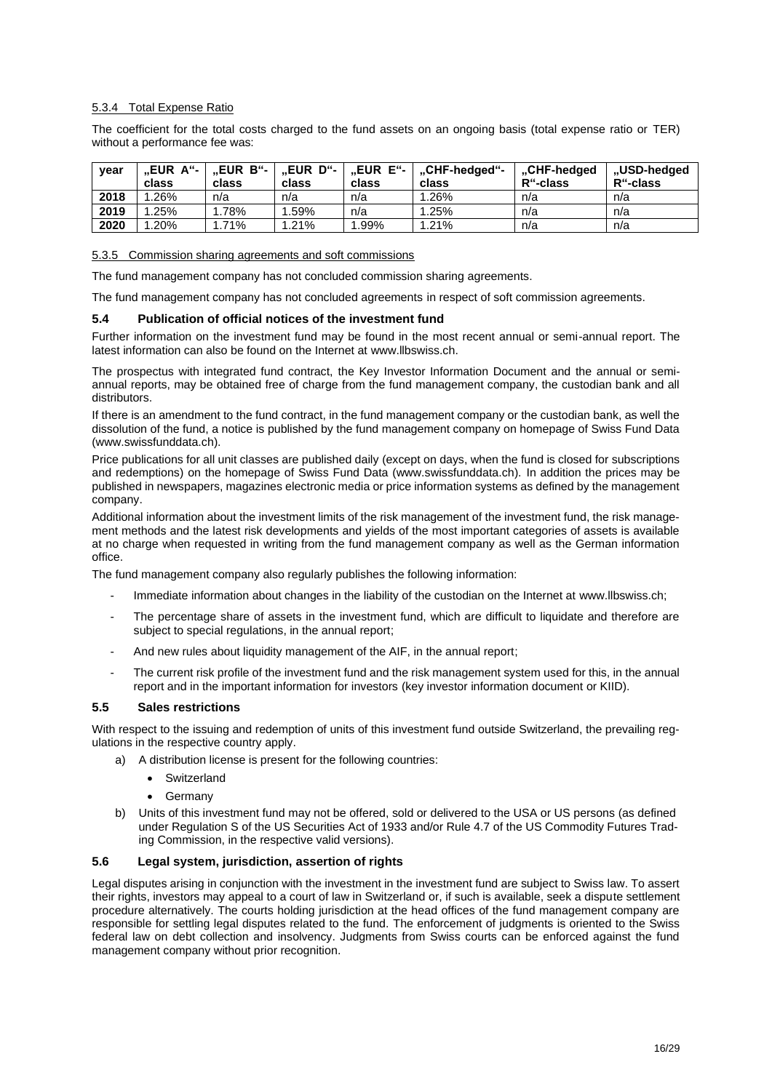#### 5.3.4 Total Expense Ratio

The coefficient for the total costs charged to the fund assets on an ongoing basis (total expense ratio or TER) without a performance fee was:

| vear | <b>.EUR A"-</b> I |       | EUR B"-   EUR D"- |       | "EUR E"- I "CHF-hedaed"- | "CHF-hedaed | "USD-hedaed |
|------|-------------------|-------|-------------------|-------|--------------------------|-------------|-------------|
|      | class             | class | class             | class | class                    | R"-class    | R"-class    |
| 2018 | .26%              | n/a   | n/a               | n/a   | .26%                     | n/a         | n/a         |
| 2019 | .25%              | .78%  | .59%              | n/a   | .25%                     | n/a         | n/a         |
| 2020 | .20%              | .71%  | .21%              | .99%  | .21%                     | n/a         | n/a         |

#### 5.3.5 Commission sharing agreements and soft commissions

The fund management company has not concluded commission sharing agreements.

The fund management company has not concluded agreements in respect of soft commission agreements.

#### <span id="page-17-0"></span>**5.4 Publication of official notices of the investment fund**

Further information on the investment fund may be found in the most recent annual or semi-annual report. The latest information can also be found on the Internet at www.llbswiss.ch.

The prospectus with integrated fund contract, the Key Investor Information Document and the annual or semiannual reports, may be obtained free of charge from the fund management company, the custodian bank and all distributors.

If there is an amendment to the fund contract, in the fund management company or the custodian bank, as well the dissolution of the fund, a notice is published by the fund management company on homepage of Swiss Fund Data (www.swissfunddata.ch).

Price publications for all unit classes are published daily (except on days, when the fund is closed for subscriptions and redemptions) on the homepage of Swiss Fund Data [\(www.swissfunddata.ch\)](http://www.swissfunddata.ch/). In addition the prices may be published in newspapers, magazines electronic media or price information systems as defined by the management company.

Additional information about the investment limits of the risk management of the investment fund, the risk management methods and the latest risk developments and yields of the most important categories of assets is available at no charge when requested in writing from the fund management company as well as the German information office.

The fund management company also regularly publishes the following information:

- Immediate information about changes in the liability of the custodian on the Internet at www.llbswiss.ch;
- The percentage share of assets in the investment fund, which are difficult to liquidate and therefore are subject to special regulations, in the annual report;
- And new rules about liquidity management of the AIF, in the annual report;
- The current risk profile of the investment fund and the risk management system used for this, in the annual report and in the important information for investors (key investor information document or KIID).

#### <span id="page-17-1"></span>**5.5 Sales restrictions**

With respect to the issuing and redemption of units of this investment fund outside Switzerland, the prevailing regulations in the respective country apply.

- a) A distribution license is present for the following countries:
	- Switzerland
	- Germany
- b) Units of this investment fund may not be offered, sold or delivered to the USA or US persons (as defined under Regulation S of the US Securities Act of 1933 and/or Rule 4.7 of the US Commodity Futures Trading Commission, in the respective valid versions).

#### <span id="page-17-2"></span>**5.6 Legal system, jurisdiction, assertion of rights**

Legal disputes arising in conjunction with the investment in the investment fund are subject to Swiss law. To assert their rights, investors may appeal to a court of law in Switzerland or, if such is available, seek a dispute settlement procedure alternatively. The courts holding jurisdiction at the head offices of the fund management company are responsible for settling legal disputes related to the fund. The enforcement of judgments is oriented to the Swiss federal law on debt collection and insolvency. Judgments from Swiss courts can be enforced against the fund management company without prior recognition.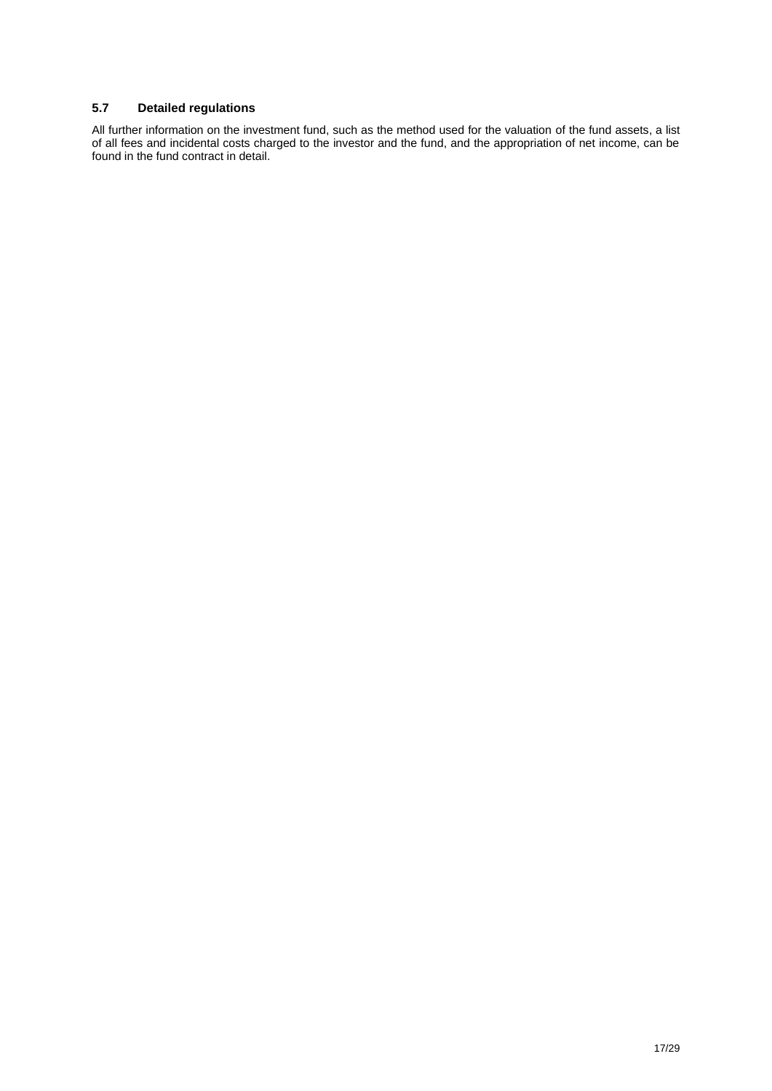#### <span id="page-18-0"></span>**5.7 Detailed regulations**

All further information on the investment fund, such as the method used for the valuation of the fund assets, a list of all fees and incidental costs charged to the investor and the fund, and the appropriation of net income, can be found in the fund contract in detail.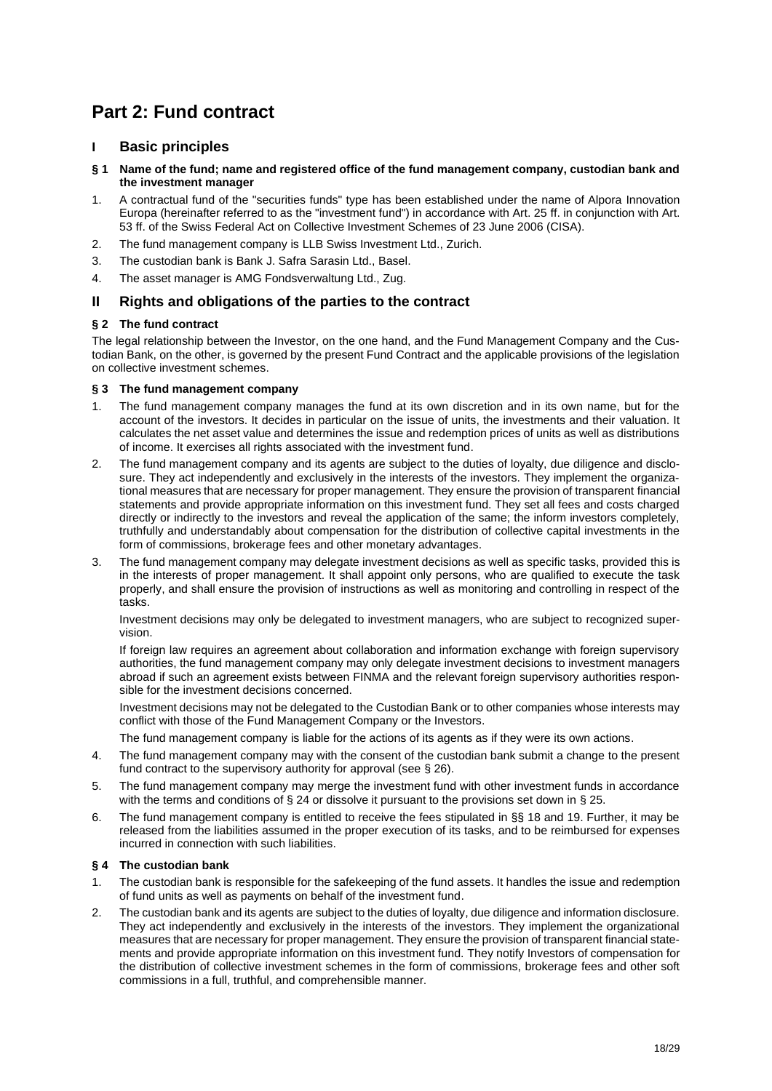### <span id="page-19-0"></span>**Part 2: Fund contract**

#### <span id="page-19-1"></span>**I Basic principles**

#### **§ 1 Name of the fund; name and registered office of the fund management company, custodian bank and the investment manager**

- 1. A contractual fund of the "securities funds" type has been established under the name of Alpora Innovation Europa (hereinafter referred to as the "investment fund") in accordance with Art. 25 ff. in conjunction with Art. 53 ff. of the Swiss Federal Act on Collective Investment Schemes of 23 June 2006 (CISA).
- 2. The fund management company is LLB Swiss Investment Ltd., Zurich.
- 3. The custodian bank is Bank J. Safra Sarasin Ltd., Basel.
- 4. The asset manager is AMG Fondsverwaltung Ltd., Zug.

#### <span id="page-19-2"></span>**II Rights and obligations of the parties to the contract**

#### **§ 2 The fund contract**

The legal relationship between the Investor, on the one hand, and the Fund Management Company and the Custodian Bank, on the other, is governed by the present Fund Contract and the applicable provisions of the legislation on collective investment schemes.

#### **§ 3 The fund management company**

- 1. The fund management company manages the fund at its own discretion and in its own name, but for the account of the investors. It decides in particular on the issue of units, the investments and their valuation. It calculates the net asset value and determines the issue and redemption prices of units as well as distributions of income. It exercises all rights associated with the investment fund.
- 2. The fund management company and its agents are subject to the duties of loyalty, due diligence and disclosure. They act independently and exclusively in the interests of the investors. They implement the organizational measures that are necessary for proper management. They ensure the provision of transparent financial statements and provide appropriate information on this investment fund. They set all fees and costs charged directly or indirectly to the investors and reveal the application of the same; the inform investors completely, truthfully and understandably about compensation for the distribution of collective capital investments in the form of commissions, brokerage fees and other monetary advantages.
- 3. The fund management company may delegate investment decisions as well as specific tasks, provided this is in the interests of proper management. It shall appoint only persons, who are qualified to execute the task properly, and shall ensure the provision of instructions as well as monitoring and controlling in respect of the tasks.

Investment decisions may only be delegated to investment managers, who are subject to recognized supervision.

If foreign law requires an agreement about collaboration and information exchange with foreign supervisory authorities, the fund management company may only delegate investment decisions to investment managers abroad if such an agreement exists between FINMA and the relevant foreign supervisory authorities responsible for the investment decisions concerned.

Investment decisions may not be delegated to the Custodian Bank or to other companies whose interests may conflict with those of the Fund Management Company or the Investors.

The fund management company is liable for the actions of its agents as if they were its own actions.

- 4. The fund management company may with the consent of the custodian bank submit a change to the present fund contract to the supervisory authority for approval (see § 26).
- 5. The fund management company may merge the investment fund with other investment funds in accordance with the terms and conditions of § 24 or dissolve it pursuant to the provisions set down in § 25.
- 6. The fund management company is entitled to receive the fees stipulated in §§ 18 and 19. Further, it may be released from the liabilities assumed in the proper execution of its tasks, and to be reimbursed for expenses incurred in connection with such liabilities.

#### **§ 4 The custodian bank**

- 1. The custodian bank is responsible for the safekeeping of the fund assets. It handles the issue and redemption of fund units as well as payments on behalf of the investment fund.
- 2. The custodian bank and its agents are subject to the duties of loyalty, due diligence and information disclosure. They act independently and exclusively in the interests of the investors. They implement the organizational measures that are necessary for proper management. They ensure the provision of transparent financial statements and provide appropriate information on this investment fund. They notify Investors of compensation for the distribution of collective investment schemes in the form of commissions, brokerage fees and other soft commissions in a full, truthful, and comprehensible manner.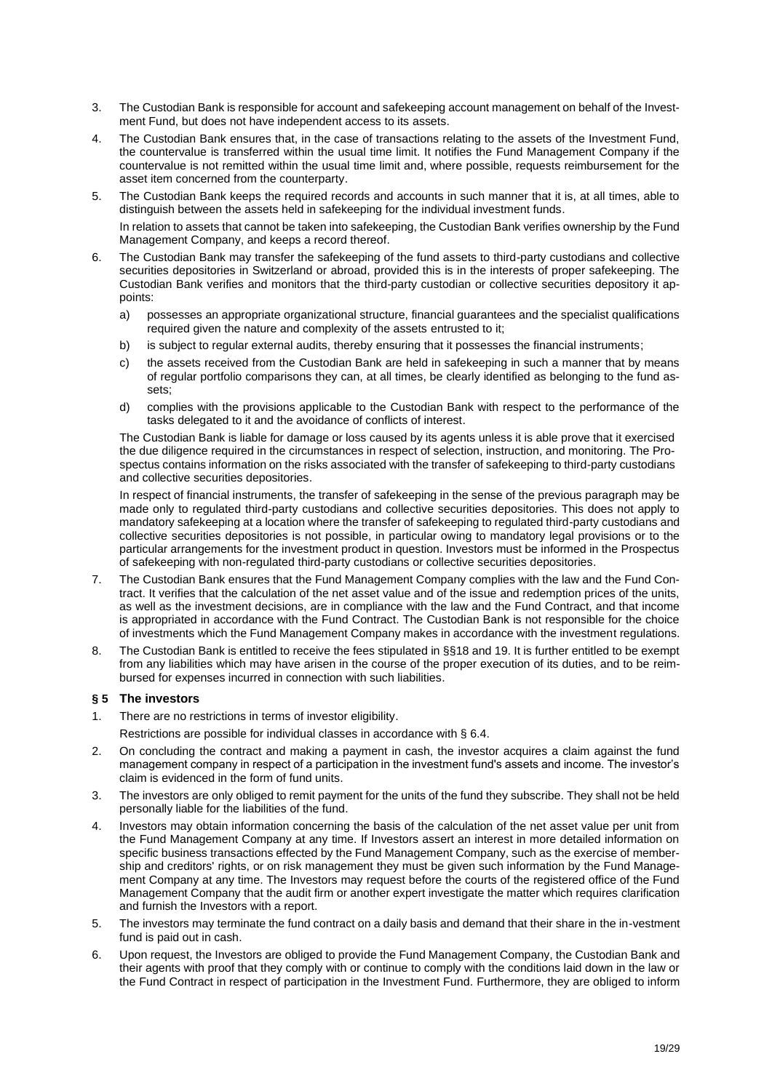- 3. The Custodian Bank is responsible for account and safekeeping account management on behalf of the Investment Fund, but does not have independent access to its assets.
- 4. The Custodian Bank ensures that, in the case of transactions relating to the assets of the Investment Fund, the countervalue is transferred within the usual time limit. It notifies the Fund Management Company if the countervalue is not remitted within the usual time limit and, where possible, requests reimbursement for the asset item concerned from the counterparty.
- 5. The Custodian Bank keeps the required records and accounts in such manner that it is, at all times, able to distinguish between the assets held in safekeeping for the individual investment funds. In relation to assets that cannot be taken into safekeeping, the Custodian Bank verifies ownership by the Fund Management Company, and keeps a record thereof.
- 6. The Custodian Bank may transfer the safekeeping of the fund assets to third-party custodians and collective securities depositories in Switzerland or abroad, provided this is in the interests of proper safekeeping. The Custodian Bank verifies and monitors that the third-party custodian or collective securities depository it appoints:
	- a) possesses an appropriate organizational structure, financial guarantees and the specialist qualifications required given the nature and complexity of the assets entrusted to it;
	- b) is subject to regular external audits, thereby ensuring that it possesses the financial instruments;
	- c) the assets received from the Custodian Bank are held in safekeeping in such a manner that by means of regular portfolio comparisons they can, at all times, be clearly identified as belonging to the fund assets;
	- d) complies with the provisions applicable to the Custodian Bank with respect to the performance of the tasks delegated to it and the avoidance of conflicts of interest.

The Custodian Bank is liable for damage or loss caused by its agents unless it is able prove that it exercised the due diligence required in the circumstances in respect of selection, instruction, and monitoring. The Prospectus contains information on the risks associated with the transfer of safekeeping to third-party custodians and collective securities depositories.

In respect of financial instruments, the transfer of safekeeping in the sense of the previous paragraph may be made only to regulated third-party custodians and collective securities depositories. This does not apply to mandatory safekeeping at a location where the transfer of safekeeping to regulated third-party custodians and collective securities depositories is not possible, in particular owing to mandatory legal provisions or to the particular arrangements for the investment product in question. Investors must be informed in the Prospectus of safekeeping with non-regulated third-party custodians or collective securities depositories.

- 7. The Custodian Bank ensures that the Fund Management Company complies with the law and the Fund Contract. It verifies that the calculation of the net asset value and of the issue and redemption prices of the units, as well as the investment decisions, are in compliance with the law and the Fund Contract, and that income is appropriated in accordance with the Fund Contract. The Custodian Bank is not responsible for the choice of investments which the Fund Management Company makes in accordance with the investment regulations.
- 8. The Custodian Bank is entitled to receive the fees stipulated in §§18 and 19. It is further entitled to be exempt from any liabilities which may have arisen in the course of the proper execution of its duties, and to be reimbursed for expenses incurred in connection with such liabilities.

#### **§ 5 The investors**

- 1. There are no restrictions in terms of investor eligibility.
	- Restrictions are possible for individual classes in accordance with § 6.4.
- 2. On concluding the contract and making a payment in cash, the investor acquires a claim against the fund management company in respect of a participation in the investment fund's assets and income. The investor's claim is evidenced in the form of fund units.
- 3. The investors are only obliged to remit payment for the units of the fund they subscribe. They shall not be held personally liable for the liabilities of the fund.
- 4. Investors may obtain information concerning the basis of the calculation of the net asset value per unit from the Fund Management Company at any time. If Investors assert an interest in more detailed information on specific business transactions effected by the Fund Management Company, such as the exercise of membership and creditors' rights, or on risk management they must be given such information by the Fund Management Company at any time. The Investors may request before the courts of the registered office of the Fund Management Company that the audit firm or another expert investigate the matter which requires clarification and furnish the Investors with a report.
- 5. The investors may terminate the fund contract on a daily basis and demand that their share in the in-vestment fund is paid out in cash.
- 6. Upon request, the Investors are obliged to provide the Fund Management Company, the Custodian Bank and their agents with proof that they comply with or continue to comply with the conditions laid down in the law or the Fund Contract in respect of participation in the Investment Fund. Furthermore, they are obliged to inform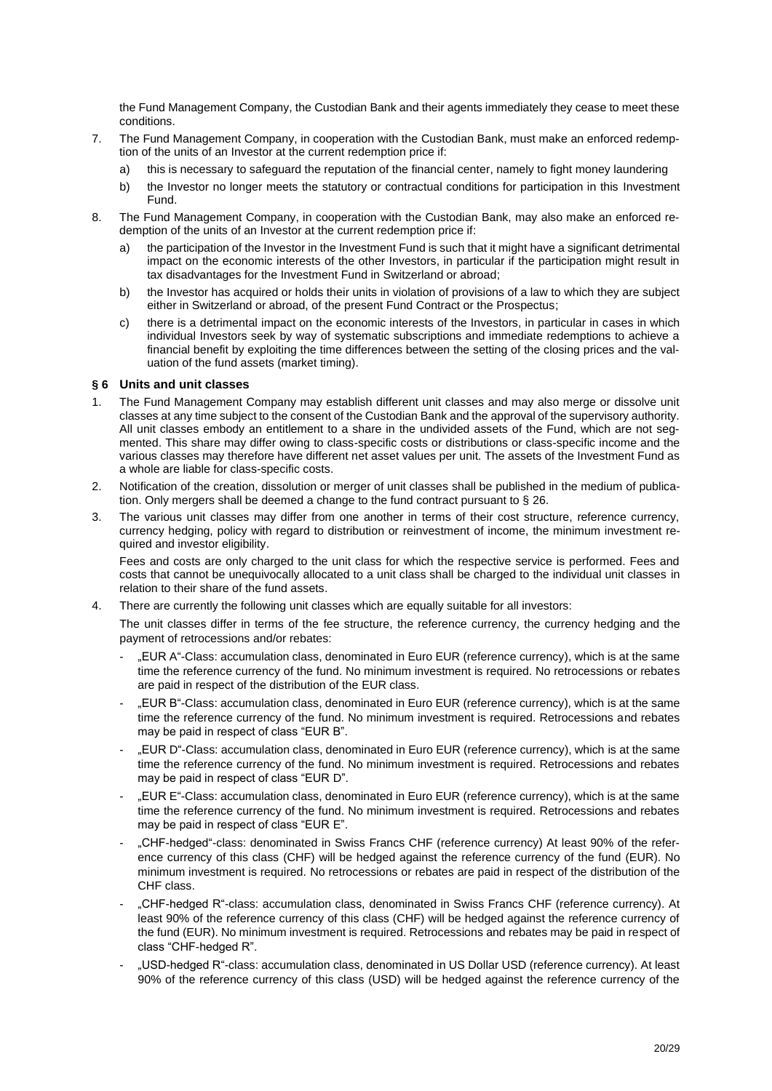the Fund Management Company, the Custodian Bank and their agents immediately they cease to meet these conditions.

- 7. The Fund Management Company, in cooperation with the Custodian Bank, must make an enforced redemption of the units of an Investor at the current redemption price if:
	- a) this is necessary to safeguard the reputation of the financial center, namely to fight money laundering
	- b) the Investor no longer meets the statutory or contractual conditions for participation in this Investment Fund.
- 8. The Fund Management Company, in cooperation with the Custodian Bank, may also make an enforced redemption of the units of an Investor at the current redemption price if:
	- a) the participation of the Investor in the Investment Fund is such that it might have a significant detrimental impact on the economic interests of the other Investors, in particular if the participation might result in tax disadvantages for the Investment Fund in Switzerland or abroad;
	- b) the Investor has acquired or holds their units in violation of provisions of a law to which they are subject either in Switzerland or abroad, of the present Fund Contract or the Prospectus;
	- c) there is a detrimental impact on the economic interests of the Investors, in particular in cases in which individual Investors seek by way of systematic subscriptions and immediate redemptions to achieve a financial benefit by exploiting the time differences between the setting of the closing prices and the valuation of the fund assets (market timing).

#### **§ 6 Units and unit classes**

- 1. The Fund Management Company may establish different unit classes and may also merge or dissolve unit classes at any time subject to the consent of the Custodian Bank and the approval of the supervisory authority. All unit classes embody an entitlement to a share in the undivided assets of the Fund, which are not segmented. This share may differ owing to class-specific costs or distributions or class-specific income and the various classes may therefore have different net asset values per unit. The assets of the Investment Fund as a whole are liable for class-specific costs.
- 2. Notification of the creation, dissolution or merger of unit classes shall be published in the medium of publication. Only mergers shall be deemed a change to the fund contract pursuant to § 26.
- 3. The various unit classes may differ from one another in terms of their cost structure, reference currency, currency hedging, policy with regard to distribution or reinvestment of income, the minimum investment required and investor eligibility.

Fees and costs are only charged to the unit class for which the respective service is performed. Fees and costs that cannot be unequivocally allocated to a unit class shall be charged to the individual unit classes in relation to their share of the fund assets.

4. There are currently the following unit classes which are equally suitable for all investors:

The unit classes differ in terms of the fee structure, the reference currency, the currency hedging and the payment of retrocessions and/or rebates:

- "EUR A"-Class: accumulation class, denominated in Euro EUR (reference currency), which is at the same time the reference currency of the fund. No minimum investment is required. No retrocessions or rebates are paid in respect of the distribution of the EUR class.
- "EUR B"-Class: accumulation class, denominated in Euro EUR (reference currency), which is at the same time the reference currency of the fund. No minimum investment is required. Retrocessions and rebates may be paid in respect of class "EUR B".
- "EUR D"-Class: accumulation class, denominated in Euro EUR (reference currency), which is at the same time the reference currency of the fund. No minimum investment is required. Retrocessions and rebates may be paid in respect of class "EUR D".
- "EUR E"-Class: accumulation class, denominated in Euro EUR (reference currency), which is at the same time the reference currency of the fund. No minimum investment is required. Retrocessions and rebates may be paid in respect of class "EUR E".
- "CHF-hedged"-class: denominated in Swiss Francs CHF (reference currency) At least 90% of the reference currency of this class (CHF) will be hedged against the reference currency of the fund (EUR). No minimum investment is required. No retrocessions or rebates are paid in respect of the distribution of the CHF class.
- "CHF-hedged R"-class: accumulation class, denominated in Swiss Francs CHF (reference currency). At least 90% of the reference currency of this class (CHF) will be hedged against the reference currency of the fund (EUR). No minimum investment is required. Retrocessions and rebates may be paid in respect of class "CHF-hedged R".
- "USD-hedged R"-class: accumulation class, denominated in US Dollar USD (reference currency). At least 90% of the reference currency of this class (USD) will be hedged against the reference currency of the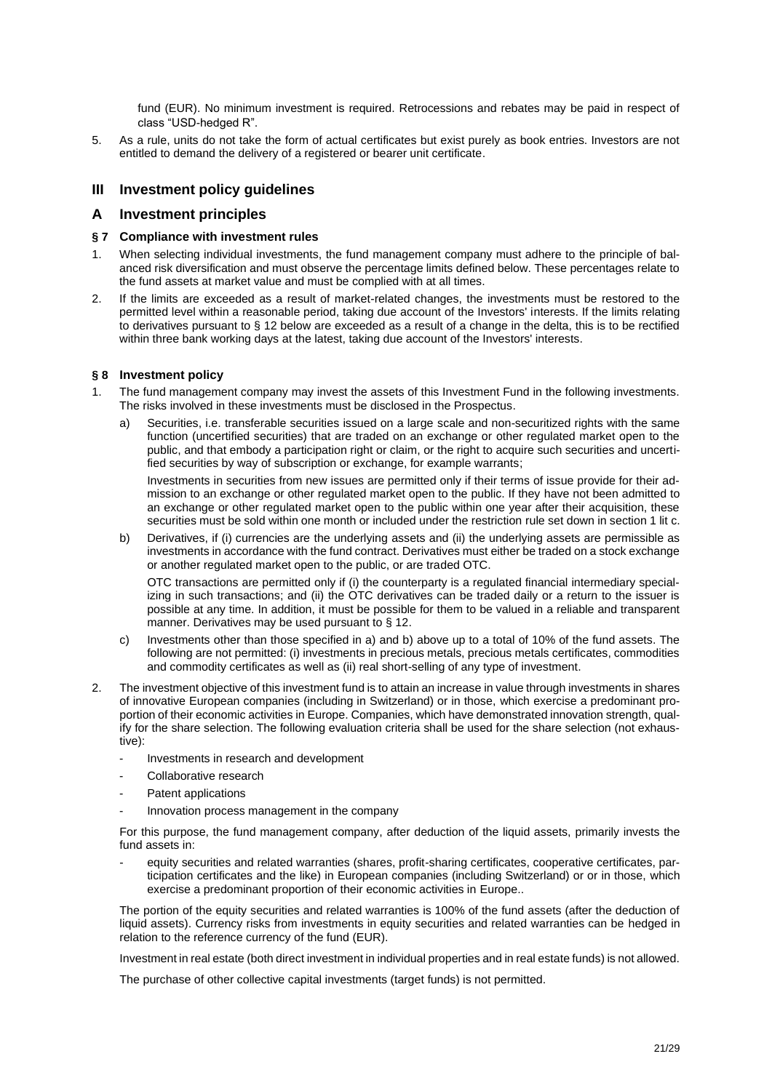fund (EUR). No minimum investment is required. Retrocessions and rebates may be paid in respect of class "USD-hedged R".

5. As a rule, units do not take the form of actual certificates but exist purely as book entries. Investors are not entitled to demand the delivery of a registered or bearer unit certificate.

#### <span id="page-22-0"></span>**III Investment policy guidelines**

#### <span id="page-22-1"></span>**A Investment principles**

#### **§ 7 Compliance with investment rules**

- 1. When selecting individual investments, the fund management company must adhere to the principle of balanced risk diversification and must observe the percentage limits defined below. These percentages relate to the fund assets at market value and must be complied with at all times.
- 2. If the limits are exceeded as a result of market-related changes, the investments must be restored to the permitted level within a reasonable period, taking due account of the Investors' interests. If the limits relating to derivatives pursuant to § 12 below are exceeded as a result of a change in the delta, this is to be rectified within three bank working days at the latest, taking due account of the Investors' interests.

#### **§ 8 Investment policy**

- 1. The fund management company may invest the assets of this Investment Fund in the following investments. The risks involved in these investments must be disclosed in the Prospectus.
	- a) Securities, i.e. transferable securities issued on a large scale and non-securitized rights with the same function (uncertified securities) that are traded on an exchange or other regulated market open to the public, and that embody a participation right or claim, or the right to acquire such securities and uncertified securities by way of subscription or exchange, for example warrants;

Investments in securities from new issues are permitted only if their terms of issue provide for their admission to an exchange or other regulated market open to the public. If they have not been admitted to an exchange or other regulated market open to the public within one year after their acquisition, these securities must be sold within one month or included under the restriction rule set down in section 1 lit c.

- b) Derivatives, if (i) currencies are the underlying assets and (ii) the underlying assets are permissible as investments in accordance with the fund contract. Derivatives must either be traded on a stock exchange or another regulated market open to the public, or are traded OTC. OTC transactions are permitted only if (i) the counterparty is a regulated financial intermediary specializing in such transactions; and (ii) the OTC derivatives can be traded daily or a return to the issuer is possible at any time. In addition, it must be possible for them to be valued in a reliable and transparent manner. Derivatives may be used pursuant to § 12.
- c) Investments other than those specified in a) and b) above up to a total of 10% of the fund assets. The following are not permitted: (i) investments in precious metals, precious metals certificates, commodities and commodity certificates as well as (ii) real short-selling of any type of investment.
- 2. The investment objective of this investment fund is to attain an increase in value through investments in shares of innovative European companies (including in Switzerland) or in those, which exercise a predominant proportion of their economic activities in Europe. Companies, which have demonstrated innovation strength, qualify for the share selection. The following evaluation criteria shall be used for the share selection (not exhaustive):
	- Investments in research and development
	- Collaborative research
	- Patent applications
	- Innovation process management in the company

For this purpose, the fund management company, after deduction of the liquid assets, primarily invests the fund assets in:

equity securities and related warranties (shares, profit-sharing certificates, cooperative certificates, participation certificates and the like) in European companies (including Switzerland) or or in those, which exercise a predominant proportion of their economic activities in Europe..

The portion of the equity securities and related warranties is 100% of the fund assets (after the deduction of liquid assets). Currency risks from investments in equity securities and related warranties can be hedged in relation to the reference currency of the fund (EUR).

Investment in real estate (both direct investment in individual properties and in real estate funds) is not allowed.

The purchase of other collective capital investments (target funds) is not permitted.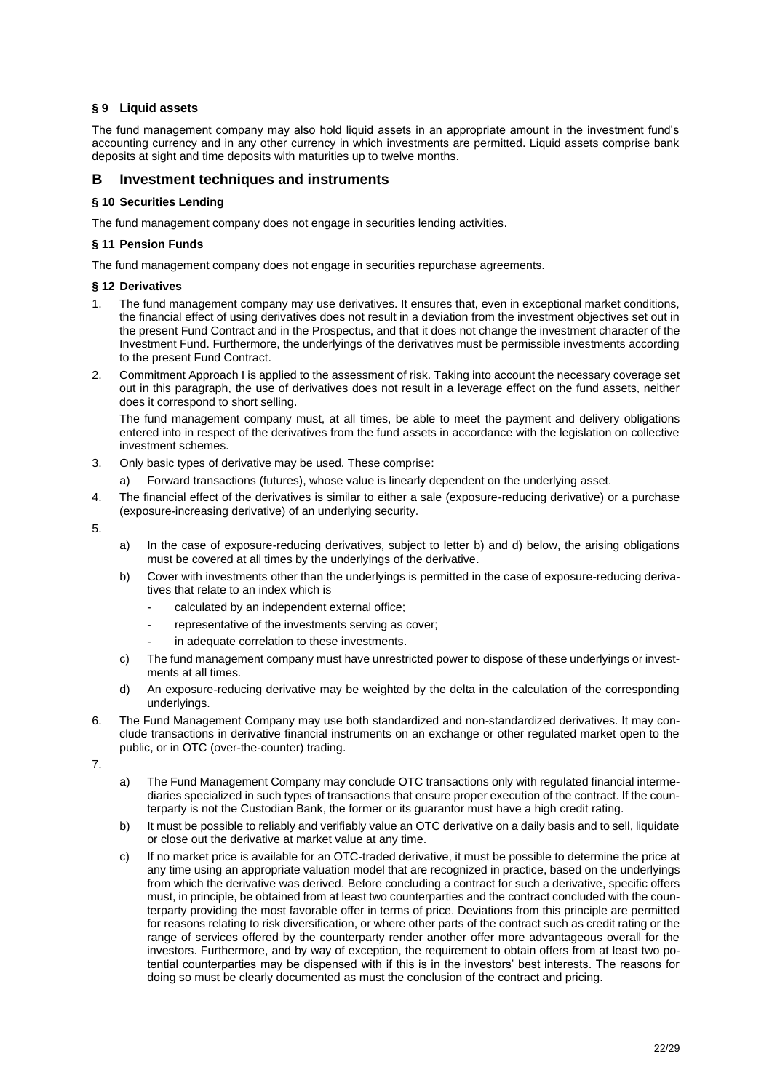#### **§ 9 Liquid assets**

The fund management company may also hold liquid assets in an appropriate amount in the investment fund's accounting currency and in any other currency in which investments are permitted. Liquid assets comprise bank deposits at sight and time deposits with maturities up to twelve months.

#### <span id="page-23-0"></span>**B Investment techniques and instruments**

#### **§ 10 Securities Lending**

The fund management company does not engage in securities lending activities.

#### **§ 11 Pension Funds**

The fund management company does not engage in securities repurchase agreements.

#### **§ 12 Derivatives**

- 1. The fund management company may use derivatives. It ensures that, even in exceptional market conditions, the financial effect of using derivatives does not result in a deviation from the investment objectives set out in the present Fund Contract and in the Prospectus, and that it does not change the investment character of the Investment Fund. Furthermore, the underlyings of the derivatives must be permissible investments according to the present Fund Contract.
- 2. Commitment Approach I is applied to the assessment of risk. Taking into account the necessary coverage set out in this paragraph, the use of derivatives does not result in a leverage effect on the fund assets, neither does it correspond to short selling.

The fund management company must, at all times, be able to meet the payment and delivery obligations entered into in respect of the derivatives from the fund assets in accordance with the legislation on collective investment schemes.

- 3. Only basic types of derivative may be used. These comprise:
	- a) Forward transactions (futures), whose value is linearly dependent on the underlying asset.
- 4. The financial effect of the derivatives is similar to either a sale (exposure-reducing derivative) or a purchase (exposure-increasing derivative) of an underlying security.
- 5.
- a) In the case of exposure-reducing derivatives, subject to letter b) and d) below, the arising obligations must be covered at all times by the underlyings of the derivative.
- b) Cover with investments other than the underlyings is permitted in the case of exposure-reducing derivatives that relate to an index which is
	- calculated by an independent external office;
	- representative of the investments serving as cover;
	- in adequate correlation to these investments.
- c) The fund management company must have unrestricted power to dispose of these underlyings or investments at all times.
- d) An exposure-reducing derivative may be weighted by the delta in the calculation of the corresponding underlyings.
- 6. The Fund Management Company may use both standardized and non-standardized derivatives. It may conclude transactions in derivative financial instruments on an exchange or other regulated market open to the public, or in OTC (over-the-counter) trading.
- 7.
- a) The Fund Management Company may conclude OTC transactions only with regulated financial intermediaries specialized in such types of transactions that ensure proper execution of the contract. If the counterparty is not the Custodian Bank, the former or its guarantor must have a high credit rating.
- b) It must be possible to reliably and verifiably value an OTC derivative on a daily basis and to sell, liquidate or close out the derivative at market value at any time.
- c) If no market price is available for an OTC-traded derivative, it must be possible to determine the price at any time using an appropriate valuation model that are recognized in practice, based on the underlyings from which the derivative was derived. Before concluding a contract for such a derivative, specific offers must, in principle, be obtained from at least two counterparties and the contract concluded with the counterparty providing the most favorable offer in terms of price. Deviations from this principle are permitted for reasons relating to risk diversification, or where other parts of the contract such as credit rating or the range of services offered by the counterparty render another offer more advantageous overall for the investors. Furthermore, and by way of exception, the requirement to obtain offers from at least two potential counterparties may be dispensed with if this is in the investors' best interests. The reasons for doing so must be clearly documented as must the conclusion of the contract and pricing.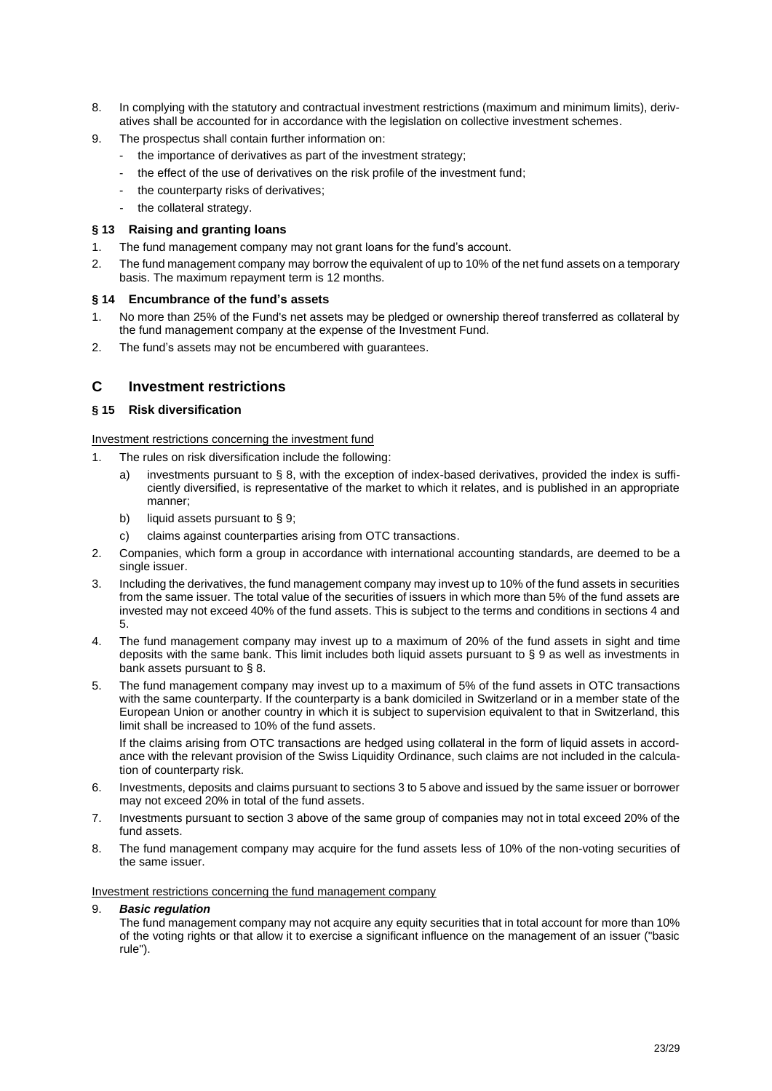- 8. In complying with the statutory and contractual investment restrictions (maximum and minimum limits), derivatives shall be accounted for in accordance with the legislation on collective investment schemes.
- 9. The prospectus shall contain further information on:
	- the importance of derivatives as part of the investment strategy;
	- the effect of the use of derivatives on the risk profile of the investment fund;
	- the counterparty risks of derivatives;
	- the collateral strategy.

#### **§ 13 Raising and granting loans**

- 1. The fund management company may not grant loans for the fund's account.
- 2. The fund management company may borrow the equivalent of up to 10% of the net fund assets on a temporary basis. The maximum repayment term is 12 months.

#### **§ 14 Encumbrance of the fund's assets**

- 1. No more than 25% of the Fund's net assets may be pledged or ownership thereof transferred as collateral by the fund management company at the expense of the Investment Fund.
- 2. The fund's assets may not be encumbered with guarantees.

#### <span id="page-24-0"></span>**C Investment restrictions**

#### **§ 15 Risk diversification**

#### Investment restrictions concerning the investment fund

- 1. The rules on risk diversification include the following:
	- a) investments pursuant to § 8, with the exception of index-based derivatives, provided the index is sufficiently diversified, is representative of the market to which it relates, and is published in an appropriate manner;
	- b) liquid assets pursuant to  $\S$  9;
	- c) claims against counterparties arising from OTC transactions.
- 2. Companies, which form a group in accordance with international accounting standards, are deemed to be a single issuer.
- 3. Including the derivatives, the fund management company may invest up to 10% of the fund assets in securities from the same issuer. The total value of the securities of issuers in which more than 5% of the fund assets are invested may not exceed 40% of the fund assets. This is subject to the terms and conditions in sections 4 and 5.
- 4. The fund management company may invest up to a maximum of 20% of the fund assets in sight and time deposits with the same bank. This limit includes both liquid assets pursuant to § 9 as well as investments in bank assets pursuant to § 8.
- 5. The fund management company may invest up to a maximum of 5% of the fund assets in OTC transactions with the same counterparty. If the counterparty is a bank domiciled in Switzerland or in a member state of the European Union or another country in which it is subject to supervision equivalent to that in Switzerland, this limit shall be increased to 10% of the fund assets.

If the claims arising from OTC transactions are hedged using collateral in the form of liquid assets in accordance with the relevant provision of the Swiss Liquidity Ordinance, such claims are not included in the calculation of counterparty risk.

- 6. Investments, deposits and claims pursuant to sections 3 to 5 above and issued by the same issuer or borrower may not exceed 20% in total of the fund assets.
- 7. Investments pursuant to section 3 above of the same group of companies may not in total exceed 20% of the fund assets.
- 8. The fund management company may acquire for the fund assets less of 10% of the non-voting securities of the same issuer.

Investment restrictions concerning the fund management company

#### 9. *Basic regulation*

The fund management company may not acquire any equity securities that in total account for more than 10% of the voting rights or that allow it to exercise a significant influence on the management of an issuer ("basic rule").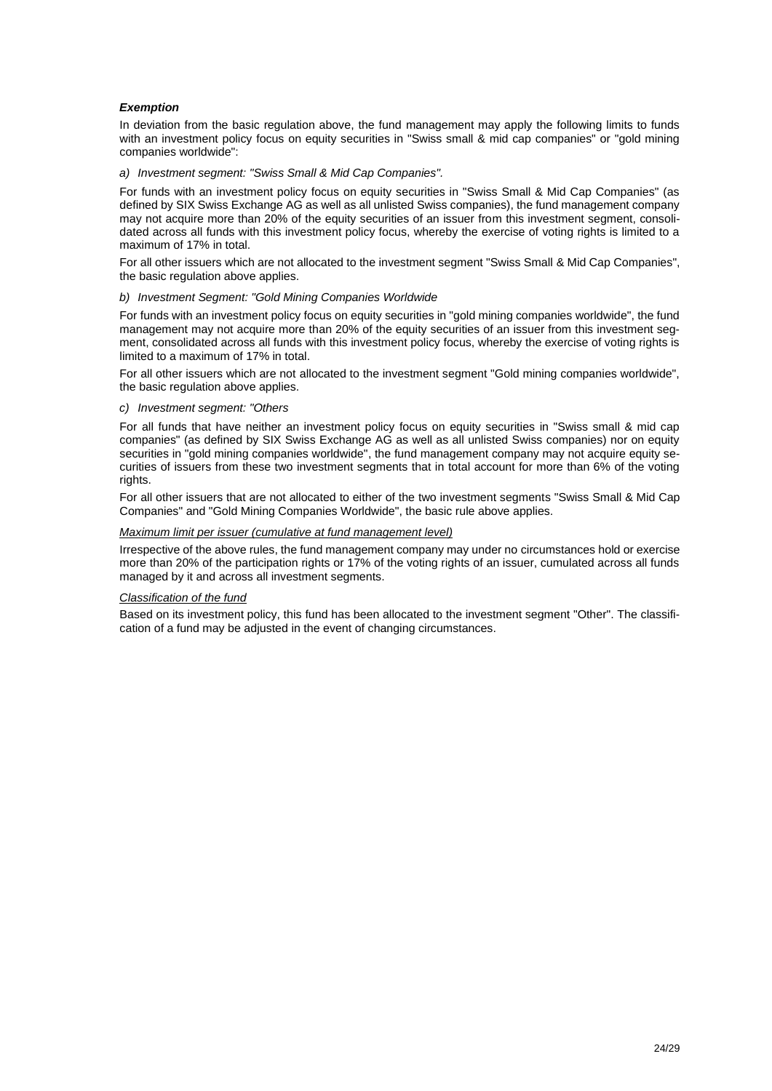#### *Exemption*

In deviation from the basic regulation above, the fund management may apply the following limits to funds with an investment policy focus on equity securities in "Swiss small & mid cap companies" or "gold mining companies worldwide":

*a) Investment segment: "Swiss Small & Mid Cap Companies".*

For funds with an investment policy focus on equity securities in "Swiss Small & Mid Cap Companies" (as defined by SIX Swiss Exchange AG as well as all unlisted Swiss companies), the fund management company may not acquire more than 20% of the equity securities of an issuer from this investment segment, consolidated across all funds with this investment policy focus, whereby the exercise of voting rights is limited to a maximum of 17% in total.

For all other issuers which are not allocated to the investment segment "Swiss Small & Mid Cap Companies", the basic regulation above applies.

#### *b) Investment Segment: "Gold Mining Companies Worldwide*

For funds with an investment policy focus on equity securities in "gold mining companies worldwide", the fund management may not acquire more than 20% of the equity securities of an issuer from this investment segment, consolidated across all funds with this investment policy focus, whereby the exercise of voting rights is limited to a maximum of 17% in total.

For all other issuers which are not allocated to the investment segment "Gold mining companies worldwide", the basic regulation above applies.

#### *c) Investment segment: "Others*

For all funds that have neither an investment policy focus on equity securities in "Swiss small & mid cap companies" (as defined by SIX Swiss Exchange AG as well as all unlisted Swiss companies) nor on equity securities in "gold mining companies worldwide", the fund management company may not acquire equity securities of issuers from these two investment segments that in total account for more than 6% of the voting rights.

For all other issuers that are not allocated to either of the two investment segments "Swiss Small & Mid Cap Companies" and "Gold Mining Companies Worldwide", the basic rule above applies.

#### *Maximum limit per issuer (cumulative at fund management level)*

Irrespective of the above rules, the fund management company may under no circumstances hold or exercise more than 20% of the participation rights or 17% of the voting rights of an issuer, cumulated across all funds managed by it and across all investment segments.

#### *Classification of the fund*

Based on its investment policy, this fund has been allocated to the investment segment "Other". The classification of a fund may be adjusted in the event of changing circumstances.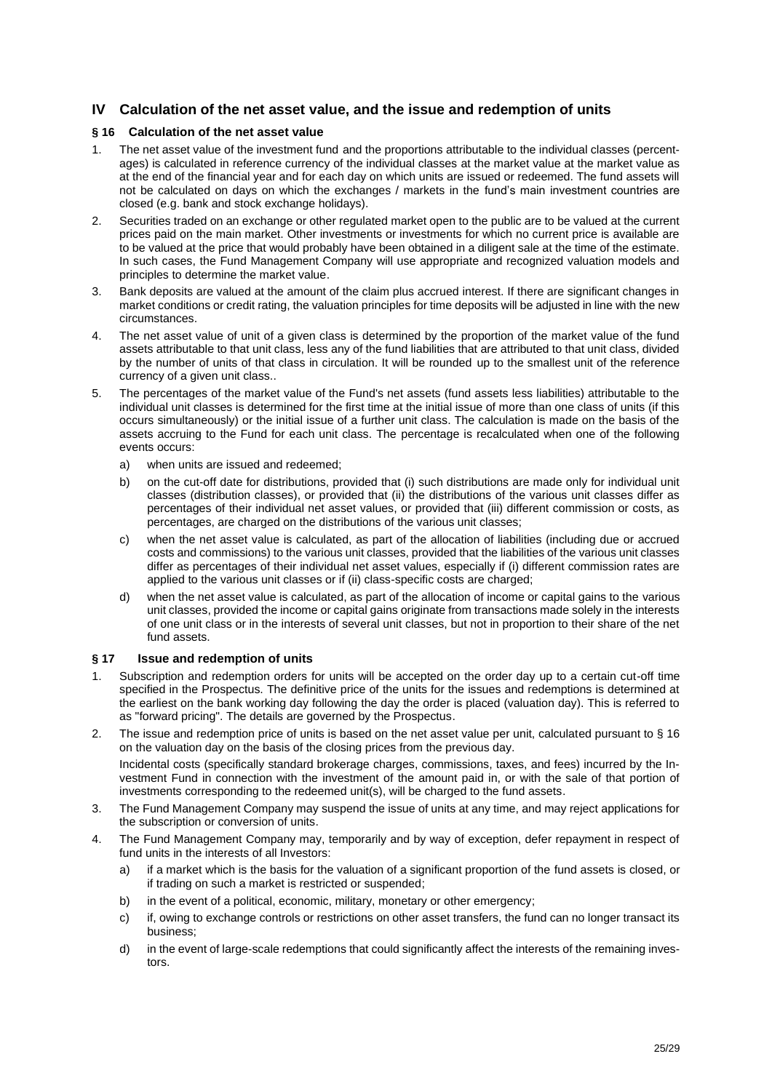#### <span id="page-26-0"></span>**IV Calculation of the net asset value, and the issue and redemption of units**

#### **§ 16 Calculation of the net asset value**

- 1. The net asset value of the investment fund and the proportions attributable to the individual classes (percentages) is calculated in reference currency of the individual classes at the market value at the market value as at the end of the financial year and for each day on which units are issued or redeemed. The fund assets will not be calculated on days on which the exchanges / markets in the fund's main investment countries are closed (e.g. bank and stock exchange holidays).
- 2. Securities traded on an exchange or other regulated market open to the public are to be valued at the current prices paid on the main market. Other investments or investments for which no current price is available are to be valued at the price that would probably have been obtained in a diligent sale at the time of the estimate. In such cases, the Fund Management Company will use appropriate and recognized valuation models and principles to determine the market value.
- 3. Bank deposits are valued at the amount of the claim plus accrued interest. If there are significant changes in market conditions or credit rating, the valuation principles for time deposits will be adjusted in line with the new circumstances.
- 4. The net asset value of unit of a given class is determined by the proportion of the market value of the fund assets attributable to that unit class, less any of the fund liabilities that are attributed to that unit class, divided by the number of units of that class in circulation. It will be rounded up to the smallest unit of the reference currency of a given unit class..
- 5. The percentages of the market value of the Fund's net assets (fund assets less liabilities) attributable to the individual unit classes is determined for the first time at the initial issue of more than one class of units (if this occurs simultaneously) or the initial issue of a further unit class. The calculation is made on the basis of the assets accruing to the Fund for each unit class. The percentage is recalculated when one of the following events occurs:
	- a) when units are issued and redeemed;
	- b) on the cut-off date for distributions, provided that (i) such distributions are made only for individual unit classes (distribution classes), or provided that (ii) the distributions of the various unit classes differ as percentages of their individual net asset values, or provided that (iii) different commission or costs, as percentages, are charged on the distributions of the various unit classes;
	- c) when the net asset value is calculated, as part of the allocation of liabilities (including due or accrued costs and commissions) to the various unit classes, provided that the liabilities of the various unit classes differ as percentages of their individual net asset values, especially if (i) different commission rates are applied to the various unit classes or if (ii) class-specific costs are charged;
	- d) when the net asset value is calculated, as part of the allocation of income or capital gains to the various unit classes, provided the income or capital gains originate from transactions made solely in the interests of one unit class or in the interests of several unit classes, but not in proportion to their share of the net fund assets.

#### **§ 17 Issue and redemption of units**

- 1. Subscription and redemption orders for units will be accepted on the order day up to a certain cut-off time specified in the Prospectus. The definitive price of the units for the issues and redemptions is determined at the earliest on the bank working day following the day the order is placed (valuation day). This is referred to as "forward pricing". The details are governed by the Prospectus.
- 2. The issue and redemption price of units is based on the net asset value per unit, calculated pursuant to § 16 on the valuation day on the basis of the closing prices from the previous day.

Incidental costs (specifically standard brokerage charges, commissions, taxes, and fees) incurred by the Investment Fund in connection with the investment of the amount paid in, or with the sale of that portion of investments corresponding to the redeemed unit(s), will be charged to the fund assets.

- 3. The Fund Management Company may suspend the issue of units at any time, and may reject applications for the subscription or conversion of units.
- 4. The Fund Management Company may, temporarily and by way of exception, defer repayment in respect of fund units in the interests of all Investors:
	- a) if a market which is the basis for the valuation of a significant proportion of the fund assets is closed, or if trading on such a market is restricted or suspended;
	- b) in the event of a political, economic, military, monetary or other emergency;
	- c) if, owing to exchange controls or restrictions on other asset transfers, the fund can no longer transact its business;
	- d) in the event of large-scale redemptions that could significantly affect the interests of the remaining investors.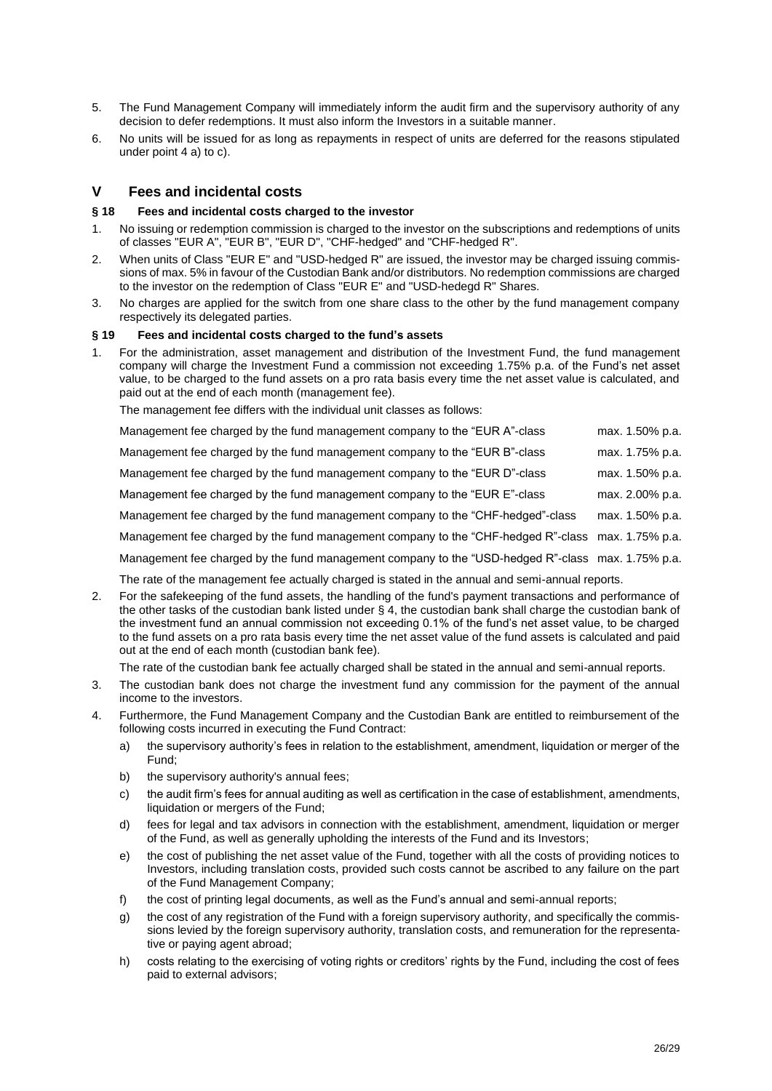- 5. The Fund Management Company will immediately inform the audit firm and the supervisory authority of any decision to defer redemptions. It must also inform the Investors in a suitable manner.
- 6. No units will be issued for as long as repayments in respect of units are deferred for the reasons stipulated under point 4 a) to c).

#### <span id="page-27-0"></span>**V Fees and incidental costs**

#### **§ 18 Fees and incidental costs charged to the investor**

- 1. No issuing or redemption commission is charged to the investor on the subscriptions and redemptions of units of classes "EUR A", "EUR B", "EUR D", "CHF-hedged" and "CHF-hedged R".
- 2. When units of Class "EUR E" and "USD-hedged R" are issued, the investor may be charged issuing commissions of max. 5% in favour of the Custodian Bank and/or distributors. No redemption commissions are charged to the investor on the redemption of Class "EUR E" and "USD-hedegd R" Shares.
- 3. No charges are applied for the switch from one share class to the other by the fund management company respectively its delegated parties.

#### **§ 19 Fees and incidental costs charged to the fund's assets**

1. For the administration, asset management and distribution of the Investment Fund, the fund management company will charge the Investment Fund a commission not exceeding 1.75% p.a. of the Fund's net asset value, to be charged to the fund assets on a pro rata basis every time the net asset value is calculated, and paid out at the end of each month (management fee).

The management fee differs with the individual unit classes as follows:

| Management fee charged by the fund management company to the "EUR A"-class                        | max. 1.50% p.a. |
|---------------------------------------------------------------------------------------------------|-----------------|
| Management fee charged by the fund management company to the "EUR B"-class                        | max. 1.75% p.a. |
| Management fee charged by the fund management company to the "EUR D"-class"                       | max. 1.50% p.a. |
| Management fee charged by the fund management company to the "EUR E"-class"                       | max. 2.00% p.a. |
| Management fee charged by the fund management company to the "CHF-hedged"-class                   | max. 1.50% p.a. |
| Management fee charged by the fund management company to the "CHF-hedged R"-class max. 1.75% p.a. |                 |
| Management fee charged by the fund management company to the "USD-hedged R"-class max. 1.75% p.a. |                 |

The rate of the management fee actually charged is stated in the annual and semi-annual reports.

2. For the safekeeping of the fund assets, the handling of the fund's payment transactions and performance of the other tasks of the custodian bank listed under § 4, the custodian bank shall charge the custodian bank of the investment fund an annual commission not exceeding 0.1% of the fund's net asset value, to be charged to the fund assets on a pro rata basis every time the net asset value of the fund assets is calculated and paid out at the end of each month (custodian bank fee).

The rate of the custodian bank fee actually charged shall be stated in the annual and semi-annual reports.

- 3. The custodian bank does not charge the investment fund any commission for the payment of the annual income to the investors.
- 4. Furthermore, the Fund Management Company and the Custodian Bank are entitled to reimbursement of the following costs incurred in executing the Fund Contract:
	- a) the supervisory authority's fees in relation to the establishment, amendment, liquidation or merger of the Fund;
	- b) the supervisory authority's annual fees;
	- c) the audit firm's fees for annual auditing as well as certification in the case of establishment, amendments, liquidation or mergers of the Fund;
	- d) fees for legal and tax advisors in connection with the establishment, amendment, liquidation or merger of the Fund, as well as generally upholding the interests of the Fund and its Investors;
	- e) the cost of publishing the net asset value of the Fund, together with all the costs of providing notices to Investors, including translation costs, provided such costs cannot be ascribed to any failure on the part of the Fund Management Company;
	- f) the cost of printing legal documents, as well as the Fund's annual and semi-annual reports;
	- g) the cost of any registration of the Fund with a foreign supervisory authority, and specifically the commissions levied by the foreign supervisory authority, translation costs, and remuneration for the representative or paying agent abroad;
	- h) costs relating to the exercising of voting rights or creditors' rights by the Fund, including the cost of fees paid to external advisors;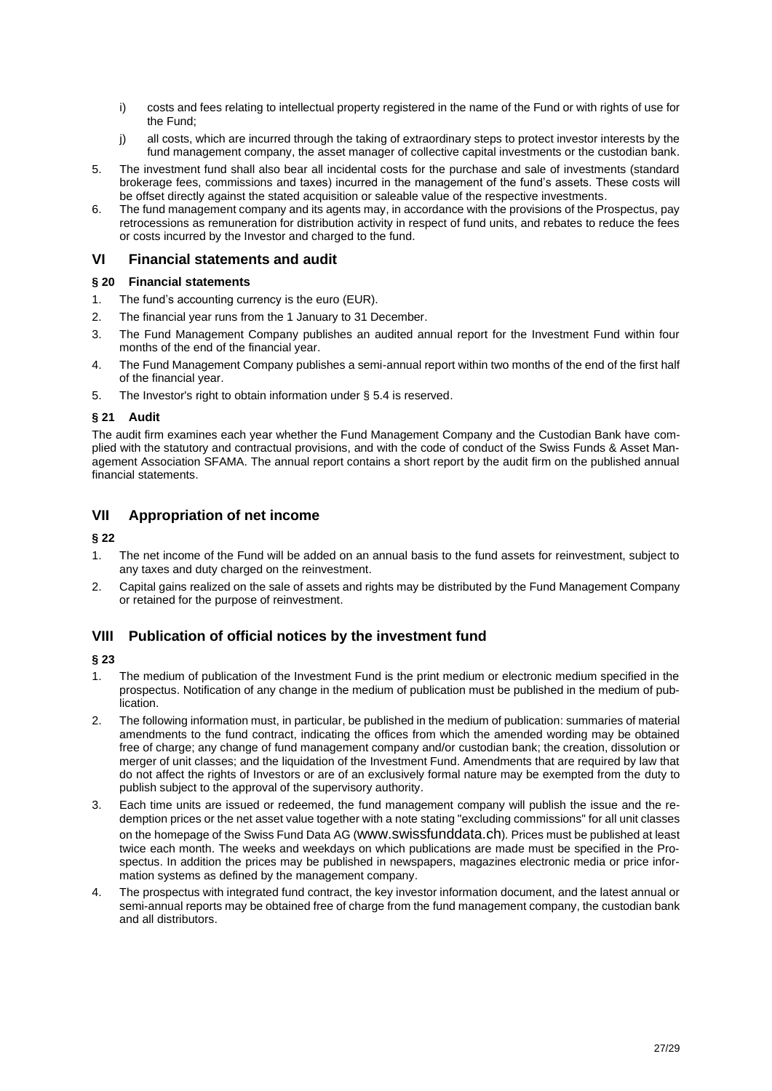- i) costs and fees relating to intellectual property registered in the name of the Fund or with rights of use for the Fund;
- j) all costs, which are incurred through the taking of extraordinary steps to protect investor interests by the fund management company, the asset manager of collective capital investments or the custodian bank.
- 5. The investment fund shall also bear all incidental costs for the purchase and sale of investments (standard brokerage fees, commissions and taxes) incurred in the management of the fund's assets. These costs will be offset directly against the stated acquisition or saleable value of the respective investments.
- 6. The fund management company and its agents may, in accordance with the provisions of the Prospectus, pay retrocessions as remuneration for distribution activity in respect of fund units, and rebates to reduce the fees or costs incurred by the Investor and charged to the fund.

#### <span id="page-28-0"></span>**VI Financial statements and audit**

#### **§ 20 Financial statements**

- 1. The fund's accounting currency is the euro (EUR).
- 2. The financial year runs from the 1 January to 31 December.
- 3. The Fund Management Company publishes an audited annual report for the Investment Fund within four months of the end of the financial year.
- 4. The Fund Management Company publishes a semi-annual report within two months of the end of the first half of the financial year.
- 5. The Investor's right to obtain information under § 5.4 is reserved.

#### **§ 21 Audit**

The audit firm examines each year whether the Fund Management Company and the Custodian Bank have complied with the statutory and contractual provisions, and with the code of conduct of the Swiss Funds & Asset Management Association SFAMA. The annual report contains a short report by the audit firm on the published annual financial statements.

#### <span id="page-28-1"></span>**VII Appropriation of net income**

#### **§ 22**

- 1. The net income of the Fund will be added on an annual basis to the fund assets for reinvestment, subject to any taxes and duty charged on the reinvestment.
- 2. Capital gains realized on the sale of assets and rights may be distributed by the Fund Management Company or retained for the purpose of reinvestment.

#### <span id="page-28-2"></span>**VIII Publication of official notices by the investment fund**

#### **§ 23**

- 1. The medium of publication of the Investment Fund is the print medium or electronic medium specified in the prospectus. Notification of any change in the medium of publication must be published in the medium of publication.
- 2. The following information must, in particular, be published in the medium of publication: summaries of material amendments to the fund contract, indicating the offices from which the amended wording may be obtained free of charge; any change of fund management company and/or custodian bank; the creation, dissolution or merger of unit classes; and the liquidation of the Investment Fund. Amendments that are required by law that do not affect the rights of Investors or are of an exclusively formal nature may be exempted from the duty to publish subject to the approval of the supervisory authority.
- 3. Each time units are issued or redeemed, the fund management company will publish the issue and the redemption prices or the net asset value together with a note stating "excluding commissions" for all unit classes on the homepage of the Swiss Fund Data AG (www.swissfunddata.ch). Prices must be published at least twice each month. The weeks and weekdays on which publications are made must be specified in the Prospectus. In addition the prices may be published in newspapers, magazines electronic media or price information systems as defined by the management company.
- 4. The prospectus with integrated fund contract, the key investor information document, and the latest annual or semi-annual reports may be obtained free of charge from the fund management company, the custodian bank and all distributors.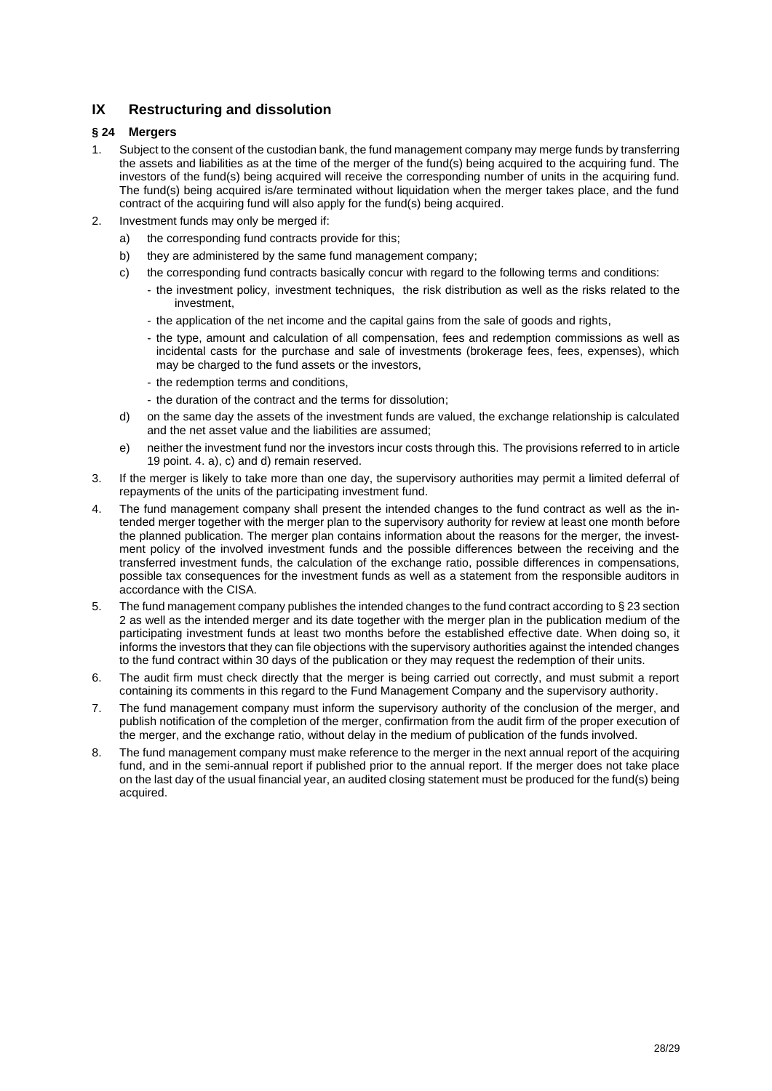#### <span id="page-29-0"></span>**IX Restructuring and dissolution**

#### **§ 24 Mergers**

- 1. Subject to the consent of the custodian bank, the fund management company may merge funds by transferring the assets and liabilities as at the time of the merger of the fund(s) being acquired to the acquiring fund. The investors of the fund(s) being acquired will receive the corresponding number of units in the acquiring fund. The fund(s) being acquired is/are terminated without liquidation when the merger takes place, and the fund contract of the acquiring fund will also apply for the fund(s) being acquired.
- 2. Investment funds may only be merged if:
	- a) the corresponding fund contracts provide for this;
	- b) they are administered by the same fund management company;
	- c) the corresponding fund contracts basically concur with regard to the following terms and conditions:
		- the investment policy, investment techniques, the risk distribution as well as the risks related to the investment,
			- the application of the net income and the capital gains from the sale of goods and rights,
			- the type, amount and calculation of all compensation, fees and redemption commissions as well as incidental casts for the purchase and sale of investments (brokerage fees, fees, expenses), which may be charged to the fund assets or the investors,
			- the redemption terms and conditions,
			- the duration of the contract and the terms for dissolution;
	- d) on the same day the assets of the investment funds are valued, the exchange relationship is calculated and the net asset value and the liabilities are assumed;
	- e) neither the investment fund nor the investors incur costs through this. The provisions referred to in article 19 point. 4. a), c) and d) remain reserved.
- 3. If the merger is likely to take more than one day, the supervisory authorities may permit a limited deferral of repayments of the units of the participating investment fund.
- 4. The fund management company shall present the intended changes to the fund contract as well as the intended merger together with the merger plan to the supervisory authority for review at least one month before the planned publication. The merger plan contains information about the reasons for the merger, the investment policy of the involved investment funds and the possible differences between the receiving and the transferred investment funds, the calculation of the exchange ratio, possible differences in compensations, possible tax consequences for the investment funds as well as a statement from the responsible auditors in accordance with the CISA.
- 5. The fund management company publishes the intended changes to the fund contract according to § 23 section 2 as well as the intended merger and its date together with the merger plan in the publication medium of the participating investment funds at least two months before the established effective date. When doing so, it informs the investors that they can file objections with the supervisory authorities against the intended changes to the fund contract within 30 days of the publication or they may request the redemption of their units.
- 6. The audit firm must check directly that the merger is being carried out correctly, and must submit a report containing its comments in this regard to the Fund Management Company and the supervisory authority.
- 7. The fund management company must inform the supervisory authority of the conclusion of the merger, and publish notification of the completion of the merger, confirmation from the audit firm of the proper execution of the merger, and the exchange ratio, without delay in the medium of publication of the funds involved.
- 8. The fund management company must make reference to the merger in the next annual report of the acquiring fund, and in the semi-annual report if published prior to the annual report. If the merger does not take place on the last day of the usual financial year, an audited closing statement must be produced for the fund(s) being acquired.